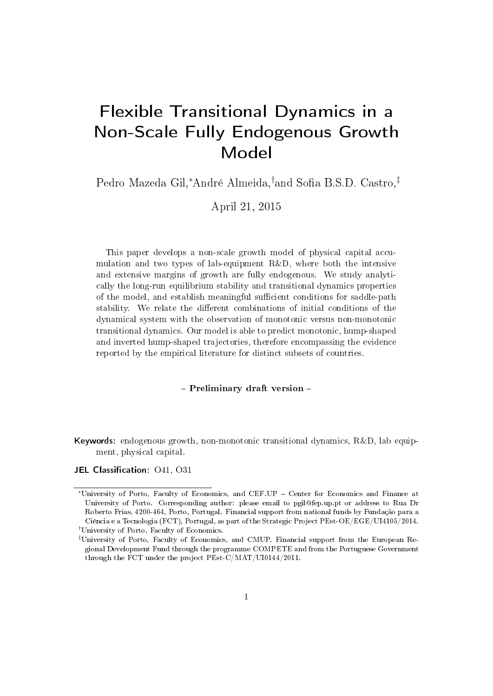# Flexible Transitional Dynamics in a Non-Scale Fully Endogenous Growth Model

Pedro Mazeda Gil,\*André Almeida,<sup>†</sup>and Sofia B.S.D. Castro,<sup>‡</sup>

April 21, 2015

This paper develops a non-scale growth model of physical capital accumulation and two types of lab-equipment R&D, where both the intensive and extensive margins of growth are fully endogenous. We study analytically the long-run equilibrium stability and transitional dynamics properties of the model, and establish meaningful sufficient conditions for saddle-path stability. We relate the different combinations of initial conditions of the dynamical system with the observation of monotonic versus non-monotonic transitional dynamics. Our model is able to predict monotonic, hump-shaped and inverted hump-shaped trajectories, therefore encompassing the evidence reported by the empirical literature for distinct subsets of countries.

#### - Preliminary draft version -

Keywords: endogenous growth, non-monotonic transitional dynamics, R&D, lab equipment, physical capital.

JEL Classification: 041, 031

<sup>∗</sup>University of Porto, Faculty of Economics, and CEF.UP Center for Economics and Finance at University of Porto. Corresponding author: please email to pgil@fep.up.pt or address to Rua Dr Roberto Frias, 4200-464, Porto, Portugal. Financial support from national funds by Fundação para a Ciência e a Tecnologia (FCT), Portugal, as part of the Strategic Project PEst-OE/EGE/UI4105/2014. †University of Porto, Faculty of Economics.

<sup>‡</sup>University of Porto, Faculty of Economics, and CMUP. Financial support from the European Regional Development Fund through the programme COMPETE and from the Portuguese Government through the FCT under the project PEst-C/MAT/UI0144/2011.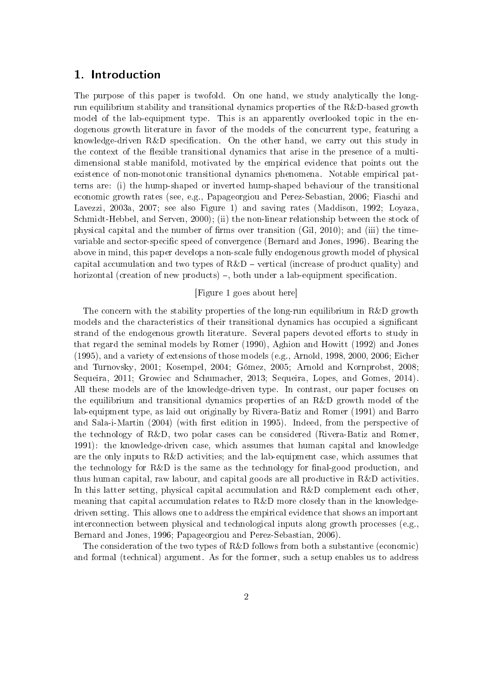## 1. Introduction

The purpose of this paper is twofold. On one hand, we study analytically the longrun equilibrium stability and transitional dynamics properties of the R&D-based growth model of the lab-equipment type. This is an apparently overlooked topic in the endogenous growth literature in favor of the models of the concurrent type, featuring a knowledge-driven  $R\&D$  specification. On the other hand, we carry out this study in the context of the flexible transitional dynamics that arise in the presence of a multidimensional stable manifold, motivated by the empirical evidence that points out the existence of non-monotonic transitional dynamics phenomena. Notable empirical patterns are: (i) the hump-shaped or inverted hump-shaped behaviour of the transitional economic growth rates (see, e.g., Papageorgiou and Perez-Sebastian, 2006; Fiaschi and Lavezzi, 2003a, 2007; see also Figure 1) and saving rates (Maddison, 1992; Loyaza, Schmidt-Hebbel, and Serven, 2000); (ii) the non-linear relationship between the stock of physical capital and the number of firms over transition (Gil, 2010); and (iii) the timevariable and sector-specific speed of convergence (Bernard and Jones, 1996). Bearing the above in mind, this paper develops a non-scale fully endogenous growth model of physical capital accumulation and two types of  $R\&D$  – vertical (increase of product quality) and horizontal (creation of new products)  $-$ , both under a lab-equipment specification.

### [Figure 1 goes about here]

The concern with the stability properties of the long-run equilibrium in R&D growth models and the characteristics of their transitional dynamics has occupied a signicant strand of the endogenous growth literature. Several papers devoted efforts to study in that regard the seminal models by Romer (1990), Aghion and Howitt (1992) and Jones (1995), and a variety of extensions of those models (e.g., Arnold, 1998, 2000, 2006; Eicher and Turnovsky, 2001; Kosempel, 2004; Gómez, 2005; Arnold and Kornprobst, 2008; Sequeira, 2011; Growiec and Schumacher, 2013; Sequeira, Lopes, and Gomes, 2014). All these models are of the knowledge-driven type. In contrast, our paper focuses on the equilibrium and transitional dynamics properties of an R&D growth model of the lab-equipment type, as laid out originally by Rivera-Batiz and Romer (1991) and Barro and Sala-i-Martin (2004) (with first edition in 1995). Indeed, from the perspective of the technology of R&D, two polar cases can be considered (Rivera-Batiz and Romer, 1991): the knowledge-driven case, which assumes that human capital and knowledge are the only inputs to R&D activities; and the lab-equipment case, which assumes that the technology for  $R\&D$  is the same as the technology for final-good production, and thus human capital, raw labour, and capital goods are all productive in R&D activities. In this latter setting, physical capital accumulation and R&D complement each other, meaning that capital accumulation relates to R&D more closely than in the knowledgedriven setting. This allows one to address the empirical evidence that shows an important interconnection between physical and technological inputs along growth processes (e.g., Bernard and Jones, 1996; Papageorgiou and Perez-Sebastian, 2006).

The consideration of the two types of R&D follows from both a substantive (economic) and formal (technical) argument. As for the former, such a setup enables us to address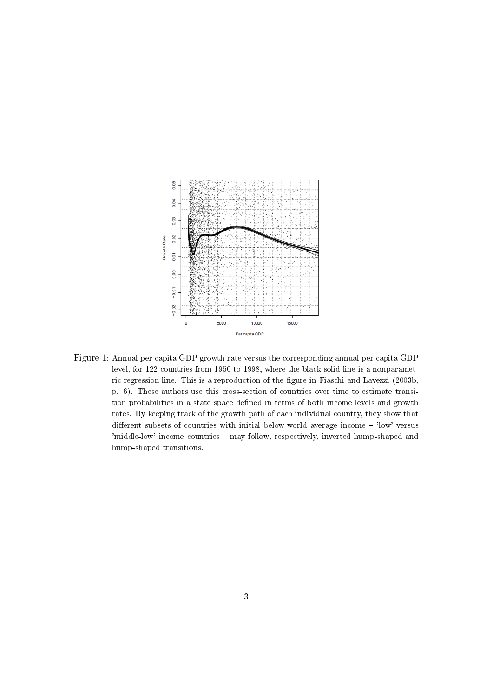

Figure 1: Annual per capita GDP growth rate versus the corresponding annual per capita GDP level, for 122 countries from 1950 to 1998, where the black solid line is a nonparametric regression line. This is a reproduction of the figure in Fiaschi and Lavezzi (2003b, p. 6). These authors use this cross-section of countries over time to estimate transition probabilities in a state space defined in terms of both income levels and growth rates. By keeping track of the growth path of each individual country, they show that different subsets of countries with initial below-world average income  $-$  'low' versus 'middle-low' income countries – may follow, respectively, inverted hump-shaped and hump-shaped transitions.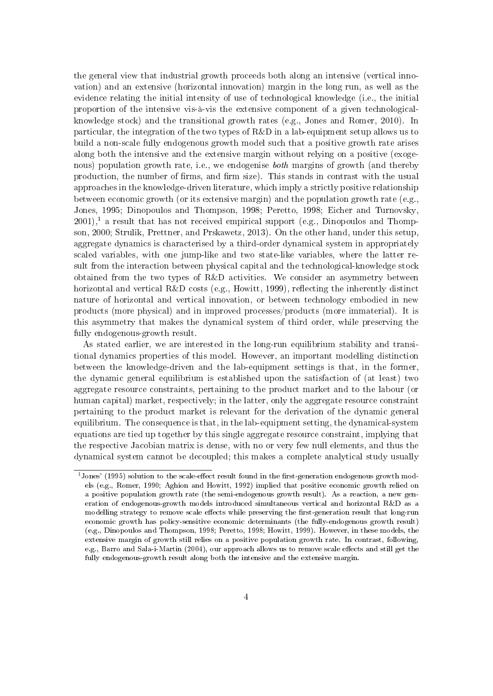the general view that industrial growth proceeds both along an intensive (vertical innovation) and an extensive (horizontal innovation) margin in the long run, as well as the evidence relating the initial intensity of use of technological knowledge (i.e., the initial proportion of the intensive vis-à-vis the extensive component of a given technologicalknowledge stock) and the transitional growth rates (e.g., Jones and Romer, 2010). In particular, the integration of the two types of R&D in a lab-equipment setup allows us to build a non-scale fully endogenous growth model such that a positive growth rate arises along both the intensive and the extensive margin without relying on a positive (exogenous) population growth rate, i.e., we endogenise *both* margins of growth (and thereby production, the number of firms, and firm size). This stands in contrast with the usual approaches in the knowledge-driven literature, which imply a strictly positive relationship between economic growth (or its extensive margin) and the population growth rate (e.g., Jones, 1995; Dinopoulos and Thompson, 1998; Peretto, 1998; Eicher and Turnovsky,  $2001$ ,<sup>1</sup> a result that has not received empirical support (e.g., Dinopoulos and Thompson, 2000; Strulik, Prettner, and Prskawetz, 2013). On the other hand, under this setup, aggregate dynamics is characterised by a third-order dynamical system in appropriately scaled variables, with one jump-like and two state-like variables, where the latter result from the interaction between physical capital and the technological-knowledge stock obtained from the two types of R&D activities. We consider an asymmetry between horizontal and vertical  $R\&D$  costs (e.g., Howitt, 1999), reflecting the inherently distinct nature of horizontal and vertical innovation, or between technology embodied in new products (more physical) and in improved processes/products (more immaterial). It is this asymmetry that makes the dynamical system of third order, while preserving the fully endogenous-growth result.

As stated earlier, we are interested in the long-run equilibrium stability and transitional dynamics properties of this model. However, an important modelling distinction between the knowledge-driven and the lab-equipment settings is that, in the former, the dynamic general equilibrium is established upon the satisfaction of (at least) two aggregate resource constraints, pertaining to the product market and to the labour (or human capital) market, respectively; in the latter, only the aggregate resource constraint pertaining to the product market is relevant for the derivation of the dynamic general equilibrium. The consequence is that, in the lab-equipment setting, the dynamical-system equations are tied up together by this single aggregate resource constraint, implying that the respective Jacobian matrix is dense, with no or very few null elements, and thus the dynamical system cannot be decoupled; this makes a complete analytical study usually

 $1$ Jones' (1995) solution to the scale-effect result found in the first-generation endogenous growth models (e.g., Romer, 1990; Aghion and Howitt, 1992) implied that positive economic growth relied on a positive population growth rate (the semi-endogenous growth result). As a reaction, a new generation of endogenous-growth models introduced simultaneous vertical and horizontal R&D as a modelling strategy to remove scale effects while preserving the first-generation result that long-run economic growth has policy-sensitive economic determinants (the fully-endogenous growth result) (e.g., Dinopoulos and Thompson, 1998; Peretto, 1998; Howitt, 1999). However, in these models, the extensive margin of growth still relies on a positive population growth rate. In contrast, following, e.g., Barro and Sala-i-Martin (2004), our approach allows us to remove scale effects and still get the fully endogenous-growth result along both the intensive and the extensive margin.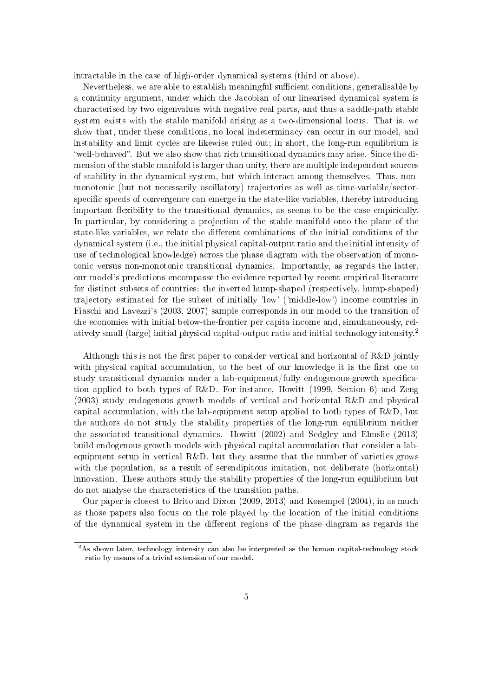intractable in the case of high-order dynamical systems (third or above).

Nevertheless, we are able to establish meaningful sufficient conditions, generalisable by a continuity argument, under which the Jacobian of our linearised dynamical system is characterised by two eigenvalues with negative real parts, and thus a saddle-path stable system exists with the stable manifold arising as a two-dimensional locus. That is, we show that, under these conditions, no local indeterminacy can occur in our model, and instability and limit cycles are likewise ruled out; in short, the long-run equilibrium is "well-behaved". But we also show that rich transitional dynamics may arise. Since the dimension of the stable manifold is larger than unity, there are multiple independent sources of stability in the dynamical system, but which interact among themselves. Thus, nonmonotonic (but not necessarily oscillatory) trajectories as well as time-variable/sectorspecific speeds of convergence can emerge in the state-like variables, thereby introducing important flexibility to the transitional dynamics, as seems to be the case empirically. In particular, by considering a projection of the stable manifold onto the plane of the state-like variables, we relate the different combinations of the initial conditions of the dynamical system (i.e., the initial physical capital-output ratio and the initial intensity of use of technological knowledge) across the phase diagram with the observation of monotonic versus non-monotonic transitional dynamics. Importantly, as regards the latter, our model's predictions encompasse the evidence reported by recent empirical literature for distinct subsets of countries: the inverted hump-shaped (respectively, hump-shaped) trajectory estimated for the subset of initially 'low' ('middle-low') income countries in Fiaschi and Lavezzi's (2003, 2007) sample corresponds in our model to the transition of the economies with initial below-the-frontier per capita income and, simultaneously, relatively small (large) initial physical capital-output ratio and initial technology intensity.<sup>2</sup>

Although this is not the first paper to consider vertical and horizontal of  $R&D$  jointly with physical capital accumulation, to the best of our knowledge it is the first one to study transitional dynamics under a lab-equipment/fully endogenous-growth specification applied to both types of R&D. For instance, Howitt (1999, Section 6) and Zeng (2003) study endogenous growth models of vertical and horizontal R&D and physical capital accumulation, with the lab-equipment setup applied to both types of R&D, but the authors do not study the stability properties of the long-run equilibrium neither the associated transitional dynamics. Howitt (2002) and Sedgley and Elmslie (2013) build endogenous growth models with physical capital accumulation that consider a labequipment setup in vertical R&D, but they assume that the number of varieties grows with the population, as a result of serendipitous imitation, not deliberate (horizontal) innovation. These authors study the stability properties of the long-run equilibrium but do not analyse the characteristics of the transition paths.

Our paper is closest to Brito and Dixon (2009, 2013) and Kosempel (2004), in as much as those papers also focus on the role played by the location of the initial conditions of the dynamical system in the different regions of the phase diagram as regards the

<sup>&</sup>lt;sup>2</sup>As shown later, technology intensity can also be interpreted as the human capital-technology stock ratio by means of a trivial extension of our model.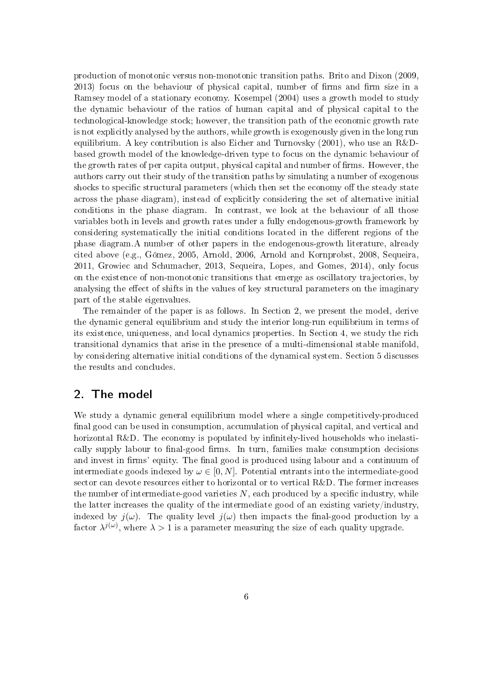production of monotonic versus non-monotonic transition paths. Brito and Dixon (2009,  $2013$ ) focus on the behaviour of physical capital, number of firms and firm size in a Ramsey model of a stationary economy. Kosempel (2004) uses a growth model to study the dynamic behaviour of the ratios of human capital and of physical capital to the technological-knowledge stock; however, the transition path of the economic growth rate is not explicitly analysed by the authors, while growth is exogenously given in the long run equilibrium. A key contribution is also Eicher and Turnovsky (2001), who use an R&Dbased growth model of the knowledge-driven type to focus on the dynamic behaviour of the growth rates of per capita output, physical capital and number of firms. However, the authors carry out their study of the transition paths by simulating a number of exogenous shocks to specific structural parameters (which then set the economy off the steady state across the phase diagram), instead of explicitly considering the set of alternative initial conditions in the phase diagram. In contrast, we look at the behaviour of all those variables both in levels and growth rates under a fully endogenous-growth framework by considering systematically the initial conditions located in the different regions of the phase diagram.A number of other papers in the endogenous-growth literature, already cited above (e.g., Gómez, 2005, Arnold, 2006, Arnold and Kornprobst, 2008, Sequeira, 2011, Growiec and Schumacher, 2013, Sequeira, Lopes, and Gomes, 2014), only focus on the existence of non-monotonic transitions that emerge as oscillatory trajectories, by analysing the effect of shifts in the values of key structural parameters on the imaginary part of the stable eigenvalues.

The remainder of the paper is as follows. In Section 2, we present the model, derive the dynamic general equilibrium and study the interior long-run equilibrium in terms of its existence, uniqueness, and local dynamics properties. In Section 4, we study the rich transitional dynamics that arise in the presence of a multi-dimensional stable manifold, by considering alternative initial conditions of the dynamical system. Section 5 discusses the results and concludes.

## 2. The model

We study a dynamic general equilibrium model where a single competitively-produced final good can be used in consumption, accumulation of physical capital, and vertical and horizontal R&D. The economy is populated by infinitely-lived households who inelastically supply labour to final-good firms. In turn, families make consumption decisions and invest in firms' equity. The final good is produced using labour and a continuum of intermediate goods indexed by  $\omega \in [0, N]$ . Potential entrants into the intermediate-good sector can devote resources either to horizontal or to vertical R&D. The former increases the number of intermediate-good varieties  $N$ , each produced by a specific industry, while the latter increases the quality of the intermediate good of an existing variety/industry, indexed by  $j(\omega)$ . The quality level  $j(\omega)$  then impacts the final-good production by a factor  $\lambda^{j(\omega)},$  where  $\lambda > 1$  is a parameter measuring the size of each quality upgrade.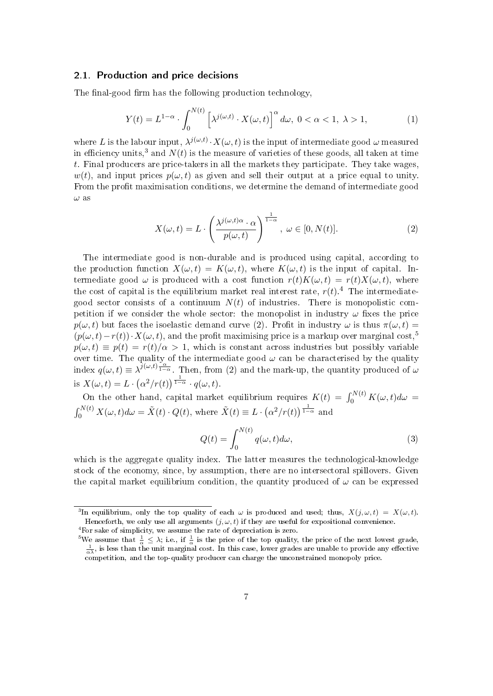#### 2.1. Production and price decisions

The final-good firm has the following production technology,

$$
Y(t) = L^{1-\alpha} \cdot \int_0^{N(t)} \left[ \lambda^{j(\omega, t)} \cdot X(\omega, t) \right]^\alpha d\omega, \ 0 < \alpha < 1, \ \lambda > 1,\tag{1}
$$

where L is the labour input,  $\lambda^{j(\omega,t)} \cdot X(\omega,t)$  is the input of intermediate good  $\omega$  measured in efficiency units,<sup>3</sup> and  $N(t)$  is the measure of varieties of these goods, all taken at time t. Final producers are price-takers in all the markets they participate. They take wages,  $w(t)$ , and input prices  $p(\omega, t)$  as given and sell their output at a price equal to unity. From the profit maximisation conditions, we determine the demand of intermediate good  $\omega$  as

$$
X(\omega, t) = L \cdot \left(\frac{\lambda^{j(\omega, t)\alpha} \cdot \alpha}{p(\omega, t)}\right)^{\frac{1}{1-\alpha}}, \ \omega \in [0, N(t)].
$$
\n(2)

The intermediate good is non-durable and is produced using capital, according to the production function  $X(\omega, t) = K(\omega, t)$ , where  $K(\omega, t)$  is the input of capital. Intermediate good  $\omega$  is produced with a cost function  $r(t)K(\omega, t) = r(t)X(\omega, t)$ , where the cost of capital is the equilibrium market real interest rate,  $r(t)$ .<sup>4</sup> The intermediategood sector consists of a continuum  $N(t)$  of industries. There is monopolistic competition if we consider the whole sector: the monopolist in industry  $\omega$  fixes the price  $p(\omega, t)$  but faces the isoelastic demand curve (2). Profit in industry  $\omega$  is thus  $\pi(\omega, t)$  $(p(\omega, t)-r(t))\cdot X(\omega, t)$ , and the profit maximising price is a markup over marginal cost,<sup>5</sup>  $p(\omega, t) \equiv p(t) = r(t)/\alpha > 1$ , which is constant across industries but possibly variable over time. The quality of the intermediate good  $\omega$  can be characterised by the quality index  $q(\omega, t) \equiv \lambda^{j(\omega, t)\frac{\alpha}{1-\alpha}}$ . Then, from (2) and the mark-up, the quantity produced of  $\omega$ is  $X(\omega, t) = L \cdot (\alpha^2/r(t))^{\frac{1}{1-\alpha}} \cdot q(\omega, t)$ .

On the other hand, capital market equilibrium requires  $K(t) = \int_0^{N(t)} K(\omega, t) d\omega =$  $\int_0^{N(t)} X(\omega, t) d\omega = \tilde{X}(t) \cdot Q(t)$ , where  $\tilde{X}(t) \equiv L \cdot (\alpha^2 / r(t))^{\frac{1}{1-\alpha}}$  and

$$
Q(t) = \int_0^{N(t)} q(\omega, t) d\omega,
$$
\n(3)

which is the aggregate quality index. The latter measures the technological-knowledge stock of the economy, since, by assumption, there are no intersectoral spillovers. Given the capital market equilibrium condition, the quantity produced of  $\omega$  can be expressed

<sup>&</sup>lt;sup>3</sup>In equilibrium, only the top quality of each  $\omega$  is produced and used; thus,  $X(j, \omega, t) = X(\omega, t)$ . Henceforth, we only use all arguments  $(j, \omega, t)$  if they are useful for expositional convenience.

<sup>4</sup>For sake of simplicity, we assume the rate of depreciation is zero.

<sup>&</sup>lt;sup>5</sup>We assume that  $\frac{1}{\alpha} \leq \lambda$ ; i.e., if  $\frac{1}{\alpha}$  is the price of the top quality, the price of the next lowest grade,  $\frac{1}{\alpha \lambda}$ , is less than the unit marginal cost. In this case, lower grades are unable to provi competition, and the top-quality producer can charge the unconstrained monopoly price.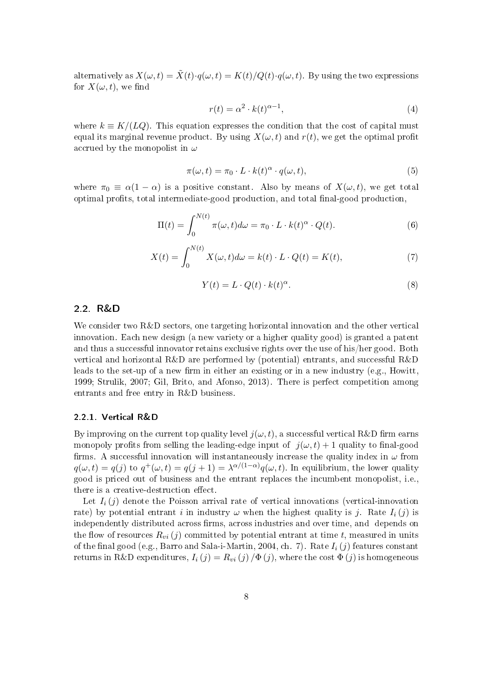alternatively as  $X(\omega, t) = \tilde{X}(t) \cdot q(\omega, t) = K(t)/Q(t) \cdot q(\omega, t)$ . By using the two expressions for  $X(\omega, t)$ , we find

$$
r(t) = \alpha^2 \cdot k(t)^{\alpha - 1},\tag{4}
$$

where  $k \equiv K/(LQ)$ . This equation expresses the condition that the cost of capital must equal its marginal revenue product. By using  $X(\omega, t)$  and  $r(t)$ , we get the optimal profit accrued by the monopolist in  $\omega$ 

$$
\pi(\omega, t) = \pi_0 \cdot L \cdot k(t)^{\alpha} \cdot q(\omega, t), \tag{5}
$$

where  $\pi_0 \equiv \alpha(1-\alpha)$  is a positive constant. Also by means of  $X(\omega, t)$ , we get total optimal prots, total intermediate-good production, and total nal-good production,

$$
\Pi(t) = \int_0^{N(t)} \pi(\omega, t) d\omega = \pi_0 \cdot L \cdot k(t)^\alpha \cdot Q(t).
$$
 (6)

$$
X(t) = \int_0^{N(t)} X(\omega, t) d\omega = k(t) \cdot L \cdot Q(t) = K(t), \tag{7}
$$

$$
Y(t) = L \cdot Q(t) \cdot k(t)^{\alpha}.
$$
\n(8)

#### 2.2. R&D

We consider two R&D sectors, one targeting horizontal innovation and the other vertical innovation. Each new design (a new variety or a higher quality good) is granted a patent and thus a successful innovator retains exclusive rights over the use of his/her good. Both vertical and horizontal R&D are performed by (potential) entrants, and successful R&D leads to the set-up of a new firm in either an existing or in a new industry (e.g., Howitt, 1999; Strulik, 2007; Gil, Brito, and Afonso, 2013). There is perfect competition among entrants and free entry in R&D business.

#### 2.2.1. Vertical R&D

By improving on the current top quality level  $j(\omega, t)$ , a successful vertical R&D firm earns monopoly profits from selling the leading-edge input of  $j(\omega, t) + 1$  quality to final-good firms. A successful innovation will instantaneously increase the quality index in  $\omega$  from  $q(\omega, t) = q(j)$  to  $q^+(\omega, t) = q(j + 1) = \lambda^{\alpha/(1-\alpha)} q(\omega, t)$ . In equilibrium, the lower quality good is priced out of business and the entrant replaces the incumbent monopolist, i.e., there is a creative-destruction effect.

Let  $I_i(j)$  denote the Poisson arrival rate of vertical innovations (vertical-innovation rate) by potential entrant i in industry  $\omega$  when the highest quality is j. Rate  $I_i(j)$  is independently distributed across firms, across industries and over time, and depends on the flow of resources  $R_{vi} (j)$  committed by potential entrant at time t, measured in units of the final good (e.g., Barro and Sala-i-Martin, 2004, ch. 7). Rate  $I_i(j)$  features constant returns in R&D expenditures,  $I_i(j) = R_{vi}(j)/\Phi(j)$ , where the cost  $\Phi(j)$  is homogeneous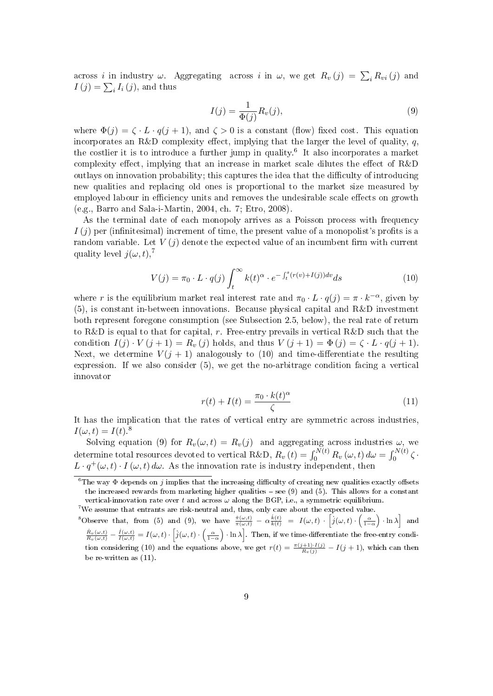across *i* in industry  $\omega$ . Aggregating across *i* in  $\omega$ , we get  $R_v(j) = \sum_i R_{vi}(j)$  and  $I(j) = \sum_i I_i(j)$ , and thus

$$
I(j) = \frac{1}{\Phi(j)} R_v(j),\tag{9}
$$

where  $\Phi(j) = \zeta \cdot L \cdot q(j+1)$ , and  $\zeta > 0$  is a constant (flow) fixed cost. This equation incorporates an R&D complexity effect, implying that the larger the level of quality, q. the costlier it is to introduce a further jump in quality.<sup>6</sup> It also incorporates a market complexity effect, implying that an increase in market scale dilutes the effect of  $R\&D$ outlays on innovation probability; this captures the idea that the difficulty of introducing new qualities and replacing old ones is proportional to the market size measured by employed labour in efficiency units and removes the undesirable scale effects on growth (e.g., Barro and Sala-i-Martin, 2004, ch. 7; Etro, 2008).

As the terminal date of each monopoly arrives as a Poisson process with frequency  $I(i)$  per (infinitesimal) increment of time, the present value of a monopolist's profits is a random variable. Let  $V(j)$  denote the expected value of an incumbent firm with current quality level  $j(\omega, t)$ ,<sup>7</sup>

$$
V(j) = \pi_0 \cdot L \cdot q(j) \int_t^{\infty} k(t)^{\alpha} \cdot e^{-\int_t^s (r(v) + I(j))dv} ds \tag{10}
$$

where r is the equilibrium market real interest rate and  $\pi_0 \cdot L \cdot q(j) = \pi \cdot k^{-\alpha}$ , given by (5), is constant in-between innovations. Because physical capital and R&D investment both represent foregone consumption (see Subsection 2.5, below), the real rate of return to R&D is equal to that for capital, r. Free-entry prevails in vertical R&D such that the condition  $I(j) \cdot V(j+1) = R_v(j)$  holds, and thus  $V(j+1) = \Phi(j) = \zeta \cdot L \cdot q(j+1)$ . Next, we determine  $V(j + 1)$  analogously to (10) and time-differentiate the resulting expression. If we also consider (5), we get the no-arbitrage condition facing a vertical innovator

$$
r(t) + I(t) = \frac{\pi_0 \cdot k(t)^{\alpha}}{\zeta} \tag{11}
$$

It has the implication that the rates of vertical entry are symmetric across industries,  $I(\omega, t) = I(t)^{8}$ 

Solving equation (9) for  $R_v(\omega, t) = R_v(j)$  and aggregating across industries  $\omega$ , we determine total resources devoted to vertical R&D,  $R_v\left(t\right)=\int_0^{N(t)}R_v\left(\omega,t\right)d\omega=\int_0^{N(t)}\zeta\cdot$  $L \cdot q^+(\omega, t) \cdot I(\omega, t) d\omega$ . As the innovation rate is industry independent, then

 $7$ We assume that entrants are risk-neutral and, thus, only care about the expected value. <sup>8</sup>Observe that, from (5) and (9), we have  $\frac{\dot{\pi}(\omega,t)}{\pi(\omega,t)} - \alpha \frac{\dot{k}(t)}{k(t)} = I(\omega,t) \cdot \left[\dot{j}(\omega,t) \cdot \left(\frac{\alpha}{1-\alpha}\right) \cdot \ln \lambda\right]$  and  $\frac{\dot{R}_v(\omega,t)}{R_v(\omega,t)} - \frac{\dot{I}(\omega,t)}{I(\omega,t)} = I(\omega,t) \cdot \left[\dot{j}(\omega,t) \cdot \left(\frac{\alpha}{1-\alpha}\right) \cdot \ln \lambda\right]$ . Then, if we time-differentiate the free-entry condition considering (10) and the equations above, we get  $r(t) = \frac{\pi(j+1) \cdot I(j)}{R_v(j)} - I(j+1)$ , which can then be re-written as  $(11)$ .

<sup>&</sup>lt;sup>6</sup>The way  $\Phi$  depends on j implies that the increasing difficulty of creating new qualities exactly offsets the increased rewards from marketing higher qualities  $-$  see (9) and (5). This allows for a constant vertical-innovation rate over t and across  $\omega$  along the BGP, i.e., a symmetric equilibrium.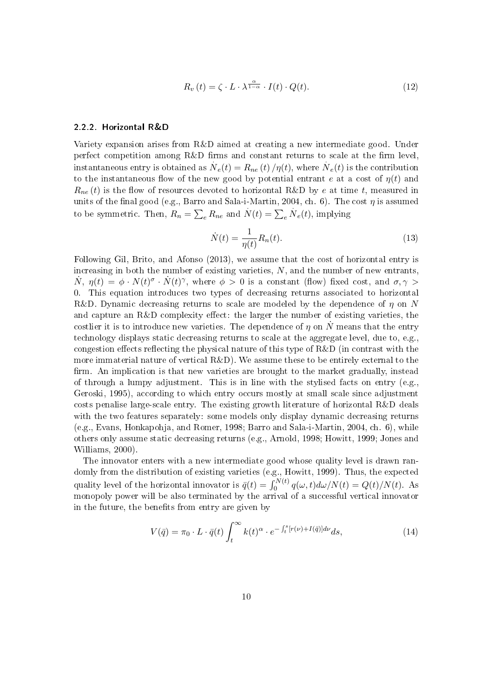$$
R_v(t) = \zeta \cdot L \cdot \lambda^{\frac{\alpha}{1-\alpha}} \cdot I(t) \cdot Q(t). \tag{12}
$$

#### 2.2.2. Horizontal R&D

Variety expansion arises from R&D aimed at creating a new intermediate good. Under perfect competition among  $R\&D$  firms and constant returns to scale at the firm level, instantaneous entry is obtained as  $N_e(t) = R_{ne}\left(t\right)/\eta(t),$  where  $N_e(t)$  is the contribution to the instantaneous flow of the new good by potential entrant e at a cost of  $\eta(t)$  and  $R_{ne}(t)$  is the flow of resources devoted to horizontal R&D by e at time t, measured in units of the final good (e.g., Barro and Sala-i-Martin, 2004, ch. 6). The cost  $\eta$  is assumed to be symmetric. Then,  $R_n = \sum_e R_{ne}$  and  $N(t) = \sum_e N_e(t)$ , implying

$$
\dot{N}(t) = \frac{1}{\eta(t)} R_n(t). \tag{13}
$$

Following Gil, Brito, and Afonso (2013), we assume that the cost of horizontal entry is increasing in both the number of existing varieties,  $N$ , and the number of new entrants,  $\dot{N}$ ,  $\eta(t) = \phi \cdot N(t)^{\sigma} \cdot \dot{N}(t)^{\gamma}$ , where  $\phi > 0$  is a constant (flow) fixed cost, and  $\sigma, \gamma >$ 0. This equation introduces two types of decreasing returns associated to horizontal R&D. Dynamic decreasing returns to scale are modeled by the dependence of  $\eta$  on N and capture an R&D complexity effect: the larger the number of existing varieties, the costlier it is to introduce new varieties. The dependence of  $\eta$  on N<sup>t</sup> means that the entry technology displays static decreasing returns to scale at the aggregate level, due to, e.g., congestion effects reflecting the physical nature of this type of  $R&D$  (in contrast with the more immaterial nature of vertical  $R\&D$ ). We assume these to be entirely external to the firm. An implication is that new varieties are brought to the market gradually, instead of through a lumpy adjustment. This is in line with the stylised facts on entry (e.g., Geroski, 1995), according to which entry occurs mostly at small scale since adjustment costs penalise large-scale entry. The existing growth literature of horizontal R&D deals with the two features separately: some models only display dynamic decreasing returns (e.g., Evans, Honkapohja, and Romer, 1998; Barro and Sala-i-Martin, 2004, ch. 6), while others only assume static decreasing returns (e.g., Arnold, 1998; Howitt, 1999; Jones and Williams, 2000).

The innovator enters with a new intermediate good whose quality level is drawn randomly from the distribution of existing varieties (e.g., Howitt, 1999). Thus, the expected quality level of the horizontal innovator is  $\bar{q}(t) = \int_0^{N(t)} q(\omega, t) d\omega / N(t) = Q(t) / N(t)$ . As monopoly power will be also terminated by the arrival of a successful vertical innovator in the future, the benefits from entry are given by

$$
V(\bar{q}) = \pi_0 \cdot L \cdot \bar{q}(t) \int_t^{\infty} k(t)^{\alpha} \cdot e^{-\int_t^s [r(\nu) + I(\bar{q})] d\nu} ds,
$$
\n(14)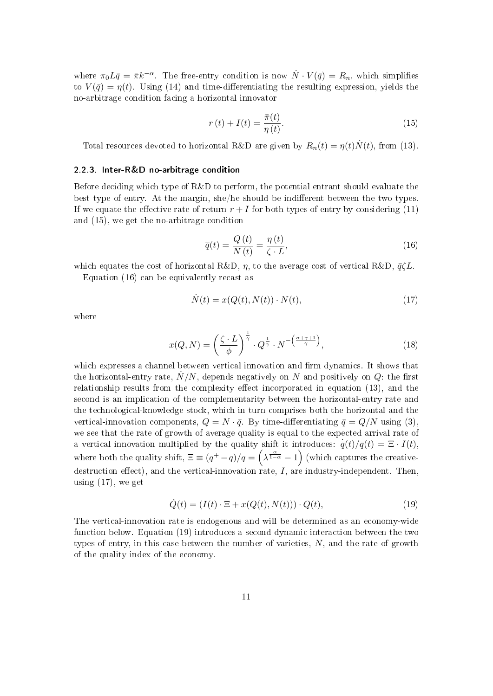where  $\pi_0 L \bar{q} = \bar{\pi} k^{-\alpha}$ . The free-entry condition is now  $\dot{N} \cdot V(\bar{q}) = R_n$ , which simplifies to  $V(\bar{q}) = \eta(t)$ . Using (14) and time-differentiating the resulting expression, yields the no-arbitrage condition facing a horizontal innovator

$$
r(t) + I(t) = \frac{\bar{\pi}(t)}{\eta(t)}.
$$
\n(15)

Total resources devoted to horizontal R&D are given by  $R_n(t) = \eta(t)N(t)$ , from (13).

#### 2.2.3. Inter-R&D no-arbitrage condition

Before deciding which type of R&D to perform, the potential entrant should evaluate the best type of entry. At the margin, she/he should be indifferent between the two types. If we equate the effective rate of return  $r + I$  for both types of entry by considering (11) and (15), we get the no-arbitrage condition

$$
\overline{q}(t) = \frac{Q(t)}{N(t)} = \frac{\eta(t)}{\zeta \cdot L},\tag{16}
$$

which equates the cost of horizontal R&D,  $\eta$ , to the average cost of vertical R&D,  $\bar{q}\zeta L$ .

Equation (16) can be equivalently recast as

$$
\dot{N}(t) = x(Q(t), N(t)) \cdot N(t),\tag{17}
$$

where

$$
x(Q, N) = \left(\frac{\zeta \cdot L}{\phi}\right)^{\frac{1}{\gamma}} \cdot Q^{\frac{1}{\gamma}} \cdot N^{-\left(\frac{\sigma + \gamma + 1}{\gamma}\right)},\tag{18}
$$

which expresses a channel between vertical innovation and firm dynamics. It shows that the horizontal-entry rate,  $\dot{N}/N,$  depends negatively on  $N$  and positively on  $Q$ : the first relationship results from the complexity effect incorporated in equation  $(13)$ , and the second is an implication of the complementarity between the horizontal-entry rate and the technological-knowledge stock, which in turn comprises both the horizontal and the vertical-innovation components,  $Q = N \cdot \bar{q}$ . By time-differentiating  $\bar{q} = Q/N$  using (3), we see that the rate of growth of average quality is equal to the expected arrival rate of a vertical innovation multiplied by the quality shift it introduces:  $\dot{\overline{q}}(t)/\overline{q}(t) = \Xi \cdot I(t)$ , where both the quality shift,  $\Xi \equiv (q^+ - q)/q = (\lambda^{\frac{\alpha}{1-\alpha}} - 1)$  (which captures the creativedestruction effect), and the vertical-innovation rate,  $I$ , are industry-independent. Then, using  $(17)$ , we get

$$
\dot{Q}(t) = (I(t) \cdot \Xi + x(Q(t), N(t))) \cdot Q(t), \qquad (19)
$$

The vertical-innovation rate is endogenous and will be determined as an economy-wide function below. Equation (19) introduces a second dynamic interaction between the two types of entry, in this case between the number of varieties,  $N$ , and the rate of growth of the quality index of the economy.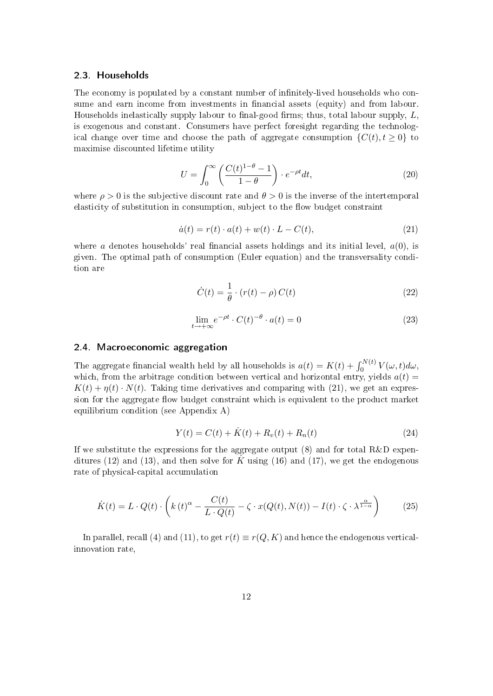#### 2.3. Households

The economy is populated by a constant number of infinitely-lived households who consume and earn income from investments in financial assets (equity) and from labour. Households inelastically supply labour to final-good firms; thus, total labour supply,  $L$ , is exogenous and constant. Consumers have perfect foresight regarding the technological change over time and choose the path of aggregate consumption  $\{C(t), t \geq 0\}$  to maximise discounted lifetime utility

$$
U = \int_0^\infty \left( \frac{C(t)^{1-\theta} - 1}{1-\theta} \right) \cdot e^{-\rho t} dt,\tag{20}
$$

where  $\rho > 0$  is the subjective discount rate and  $\theta > 0$  is the inverse of the intertemporal elasticity of substitution in consumption, subject to the flow budget constraint

$$
\dot{a}(t) = r(t) \cdot a(t) + w(t) \cdot L - C(t),\tag{21}
$$

where a denotes households' real financial assets holdings and its initial level,  $a(0)$ , is given. The optimal path of consumption (Euler equation) and the transversality condition are

$$
\dot{C}(t) = \frac{1}{\theta} \cdot (r(t) - \rho) C(t)
$$
\n(22)

$$
\lim_{t \to +\infty} e^{-\rho t} \cdot C(t)^{-\theta} \cdot a(t) = 0 \tag{23}
$$

#### 2.4. Macroeconomic aggregation

The aggregate financial wealth held by all households is  $a(t) = K(t) + \int_0^{N(t)} V(\omega, t) d\omega$ , which, from the arbitrage condition between vertical and horizontal entry, yields  $a(t)$  =  $K(t) + \eta(t) \cdot N(t)$ . Taking time derivatives and comparing with (21), we get an expression for the aggregate flow budget constraint which is equivalent to the product market equilibrium condition (see Appendix A)

$$
Y(t) = C(t) + \dot{K}(t) + R_v(t) + R_n(t)
$$
\n(24)

If we substitute the expressions for the aggregate output  $(8)$  and for total R&D expenditures (12) and (13), and then solve for K using (16) and (17), we get the endogenous rate of physical-capital accumulation

$$
\dot{K}(t) = L \cdot Q(t) \cdot \left( k(t)^{\alpha} - \frac{C(t)}{L \cdot Q(t)} - \zeta \cdot x(Q(t), N(t)) - I(t) \cdot \zeta \cdot \lambda^{\frac{\alpha}{1 - \alpha}} \right)
$$
(25)

In parallel, recall (4) and (11), to get  $r(t) \equiv r(Q, K)$  and hence the endogenous verticalinnovation rate,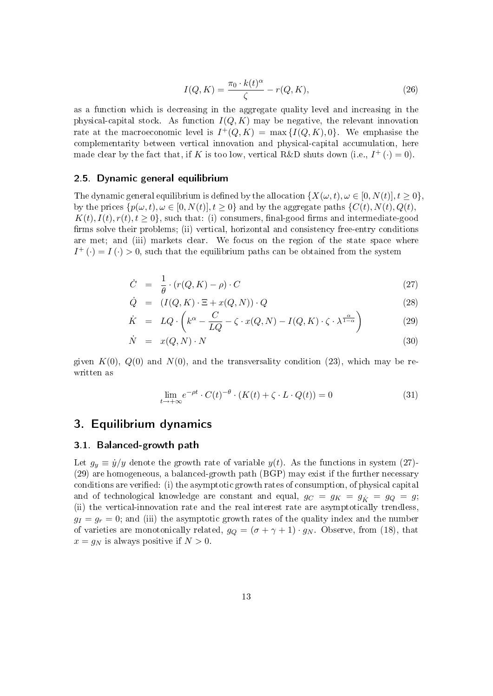$$
I(Q, K) = \frac{\pi_0 \cdot k(t)^{\alpha}}{\zeta} - r(Q, K), \qquad (26)
$$

as a function which is decreasing in the aggregate quality level and increasing in the physical-capital stock. As function  $I(Q, K)$  may be negative, the relevant innovation rate at the macroeconomic level is  $I^+(Q,K) = \max\{I(Q,K),0\}$ . We emphasise the complementarity between vertical innovation and physical-capital accumulation, here made clear by the fact that, if K is too low, vertical R&D shuts down (i.e.,  $I^+(\cdot) = 0$ ).

#### 2.5. Dynamic general equilibrium

The dynamic general equilibrium is defined by the allocation  $\{X(\omega, t), \omega \in [0, N(t)], t \geq 0\}$ , by the prices  $\{p(\omega, t), \omega \in [0, N(t)], t \geq 0\}$  and by the aggregate paths  $\{C(t), N(t), Q(t),\}$  $K(t)$ ,  $I(t)$ ,  $r(t)$ ,  $t \geq 0$ , such that: (i) consumers, final-good firms and intermediate-good firms solve their problems; (ii) vertical, horizontal and consistency free-entry conditions are met; and (iii) markets clear. We focus on the region of the state space where  $I^+(\cdot) = I(\cdot) > 0$ , such that the equilibrium paths can be obtained from the system

$$
\dot{C} = \frac{1}{\theta} \cdot (r(Q, K) - \rho) \cdot C \tag{27}
$$

$$
\dot{Q} = (I(Q, K) \cdot \Xi + x(Q, N)) \cdot Q \tag{28}
$$

$$
\dot{K} = LQ \cdot \left( k^{\alpha} - \frac{C}{LQ} - \zeta \cdot x(Q, N) - I(Q, K) \cdot \zeta \cdot \lambda^{\frac{\alpha}{1 - \alpha}} \right) \tag{29}
$$

$$
\dot{N} = x(Q, N) \cdot N \tag{30}
$$

given  $K(0)$ ,  $Q(0)$  and  $N(0)$ , and the transversality condition (23), which may be rewritten as

$$
\lim_{t \to +\infty} e^{-\rho t} \cdot C(t)^{-\theta} \cdot (K(t) + \zeta \cdot L \cdot Q(t)) = 0 \tag{31}
$$

## 3. Equilibrium dynamics

#### 3.1. Balanced-growth path

Let  $g_y \equiv \dot{y}/y$  denote the growth rate of variable  $y(t)$ . As the functions in system (27)-(29) are homogeneous, a balanced-growth path (BGP) may exist if the further necessary conditions are verified: (i) the asymptotic growth rates of consumption, of physical capital and of technological knowledge are constant and equal,  $g_C = g_K = g_{\dot{K}} = g_Q = g;$ (ii) the vertical-innovation rate and the real interest rate are asymptotically trendless,  $g_I = g_r = 0$ ; and (iii) the asymptotic growth rates of the quality index and the number of varieties are monotonically related,  $g_Q = (\sigma + \gamma + 1) \cdot g_N$ . Observe, from (18), that  $x = g_N$  is always positive if  $N > 0$ .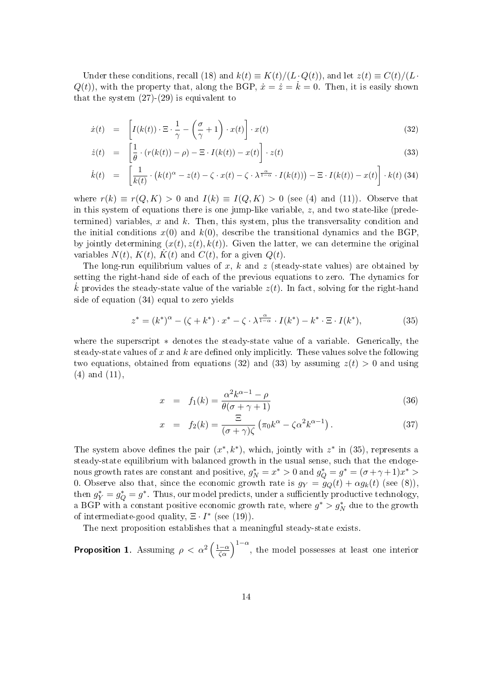Under these conditions, recall (18) and  $k(t) \equiv K(t)/(L \cdot Q(t))$ , and let  $z(t) \equiv C(t)/(L \cdot Q(t))$  $Q(t)$ , with the property that, along the BGP,  $\dot{x} = \dot{z} = \dot{k} = 0$ . Then, it is easily shown that the system  $(27)-(29)$  is equivalent to

$$
\dot{x}(t) = \left[ I(k(t)) \cdot \Xi \cdot \frac{1}{\gamma} - \left( \frac{\sigma}{\gamma} + 1 \right) \cdot x(t) \right] \cdot x(t)
$$
\n(32)

$$
\dot{z}(t) = \left[\frac{1}{\theta} \cdot (r(k(t)) - \rho) - \Xi \cdot I(k(t)) - x(t)\right] \cdot z(t)
$$
\n(33)

$$
\dot{k}(t) = \left[ \frac{1}{k(t)} \cdot \left( k(t)^{\alpha} - z(t) - \zeta \cdot x(t) - \zeta \cdot \lambda^{\frac{\alpha}{1 - \alpha}} \cdot I(k(t)) \right) - \Xi \cdot I(k(t)) - x(t) \right] \cdot k(t)
$$
 (34)

where  $r(k) \equiv r(Q, K) > 0$  and  $I(k) \equiv I(Q, K) > 0$  (see (4) and (11)). Observe that in this system of equations there is one jump-like variable,  $z$ , and two state-like (predetermined) variables,  $x$  and  $k$ . Then, this system, plus the transversality condition and the initial conditions  $x(0)$  and  $k(0)$ , describe the transitional dynamics and the BGP by jointly determining  $(x(t), z(t), k(t))$ . Given the latter, we can determine the original variables  $N(t)$ ,  $K(t)$ ,  $K(t)$  and  $C(t)$ , for a given  $Q(t)$ .

The long-run equilibrium values of x, k and z (steady-state values) are obtained by setting the right-hand side of each of the previous equations to zero. The dynamics for  $\dot{k}$  provides the steady-state value of the variable  $z(t)$ . In fact, solving for the right-hand side of equation (34) equal to zero yields

$$
z^* = (k^*)^{\alpha} - (\zeta + k^*) \cdot x^* - \zeta \cdot \lambda^{\frac{\alpha}{1 - \alpha}} \cdot I(k^*) - k^* \cdot \Xi \cdot I(k^*), \tag{35}
$$

where the superscript ∗ denotes the steady-state value of a variable. Generically, the steady-state values of x and k are defined only implicitly. These values solve the following two equations, obtained from equations (32) and (33) by assuming  $z(t) > 0$  and using (4) and (11),

$$
x = f_1(k) = \frac{\alpha^2 k^{\alpha - 1} - \rho}{\theta(\sigma + \gamma + 1)}
$$
\n(36)

$$
x = f_2(k) = \frac{\Xi}{(\sigma + \gamma)\zeta} \left( \pi_0 k^{\alpha} - \zeta \alpha^2 k^{\alpha - 1} \right).
$$
 (37)

The system above defines the pair  $(x^*, k^*)$ , which, jointly with  $z^*$  in (35), represents a steady-state equilibrium with balanced growth in the usual sense, such that the endogenous growth rates are constant and positive,  $g_N^* = x^* > 0$  and  $g_Q^* = g^* = (\sigma + \gamma + 1)x^* >$ 0. Observe also that, since the economic growth rate is  $g_Y = g_Q(t) + \alpha g_k(t)$  (see (8)), then  $g_Y^* = g_Q^* = g^*$ . Thus, our model predicts, under a sufficiently productive technology, a BGP with a constant positive economic growth rate, where  $g^* > g^*_N$  due to the growth of intermediate-good quality,  $\Xi \cdot I^*$  (see (19)).

The next proposition establishes that a meaningful steady-state exists.

**Proposition 1.** Assuming  $\rho < \alpha^2 \left(\frac{1-\alpha}{\zeta\alpha}\right)^{1-\alpha}$ , the model possesses at least one interior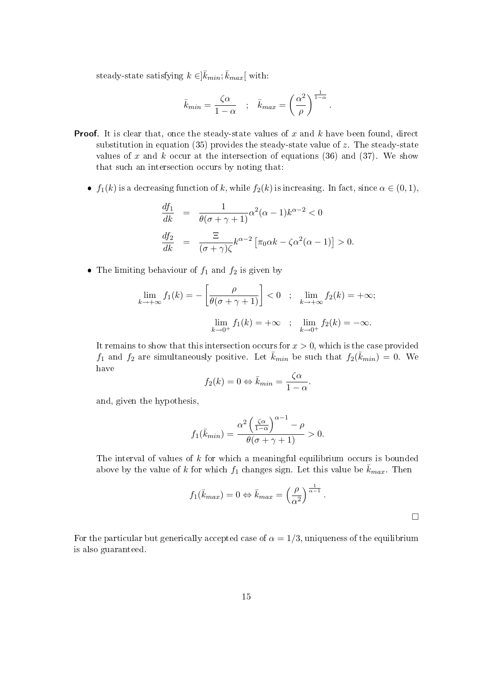steady-state satisfying  $k \in ]\bar{k}_{min}; \bar{k}_{max}[$  with:

$$
\bar{k}_{min} = \frac{\zeta \alpha}{1 - \alpha} \quad ; \quad \bar{k}_{max} = \left(\frac{\alpha^2}{\rho}\right)^{\frac{1}{1 - \alpha}}.
$$

- **Proof.** It is clear that, once the steady-state values of x and  $k$  have been found, direct substitution in equation (35) provides the steady-state value of  $z$ . The steady-state values of x and k occur at the intersection of equations (36) and (37). We show that such an intersection occurs by noting that:
	- $f_1(k)$  is a decreasing function of k, while  $f_2(k)$  is increasing. In fact, since  $\alpha \in (0,1)$ ,

$$
\frac{df_1}{dk} = \frac{1}{\theta(\sigma + \gamma + 1)} \alpha^2 (\alpha - 1) k^{\alpha - 2} < 0
$$
  

$$
\frac{df_2}{dk} = \frac{\Xi}{(\sigma + \gamma)\zeta} k^{\alpha - 2} \left[ \pi_0 \alpha k - \zeta \alpha^2 (\alpha - 1) \right] > 0.
$$

• The limiting behaviour of  $f_1$  and  $f_2$  is given by

$$
\lim_{k \to +\infty} f_1(k) = -\left[\frac{\rho}{\theta(\sigma + \gamma + 1)}\right] < 0 \quad ; \quad \lim_{k \to +\infty} f_2(k) = +\infty;
$$
\n
$$
\lim_{k \to 0^+} f_1(k) = +\infty \quad ; \quad \lim_{k \to 0^+} f_2(k) = -\infty.
$$

It remains to show that this intersection occurs for  $x > 0$ , which is the case provided  $f_1$  and  $f_2$  are simultaneously positive. Let  $\bar{k}_{min}$  be such that  $f_2(\bar{k}_{min}) = 0$ . We have

$$
f_2(k) = 0 \Leftrightarrow \bar{k}_{min} = \frac{\zeta \alpha}{1 - \alpha}.
$$

and, given the hypothesis,

$$
f_1(\bar{k}_{min}) = \frac{\alpha^2 \left(\frac{\zeta \alpha}{1-\alpha}\right)^{\alpha-1} - \rho}{\theta(\sigma + \gamma + 1)} > 0.
$$

The interval of values of  $k$  for which a meaningful equilibrium occurs is bounded above by the value of k for which  $f_1$  changes sign. Let this value be  $\bar{k}_{max}$ . Then

$$
f_1(\bar{k}_{max}) = 0 \Leftrightarrow \bar{k}_{max} = \left(\frac{\rho}{\alpha^2}\right)^{\frac{1}{\alpha-1}}.
$$

For the particular but generically accepted case of  $\alpha = 1/3$ , uniqueness of the equilibrium is also guaranteed.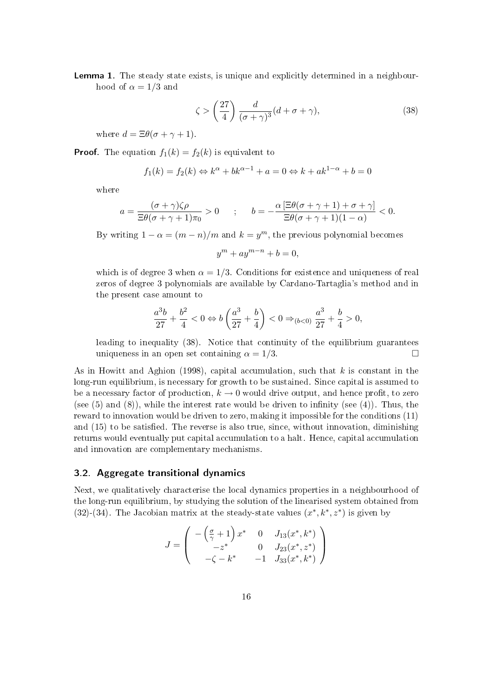Lemma 1. The steady state exists, is unique and explicitly determined in a neighbourhood of  $\alpha = 1/3$  and

$$
\zeta > \left(\frac{27}{4}\right) \frac{d}{(\sigma + \gamma)^3} (d + \sigma + \gamma),\tag{38}
$$

where  $d = \Xi \theta (\sigma + \gamma + 1)$ .

**Proof.** The equation  $f_1(k) = f_2(k)$  is equivalent to

$$
f_1(k) = f_2(k) \Leftrightarrow k^{\alpha} + bk^{\alpha - 1} + a = 0 \Leftrightarrow k + ak^{1 - \alpha} + b = 0
$$

where

$$
a = \frac{(\sigma + \gamma)\zeta\rho}{\Xi\theta(\sigma + \gamma + 1)\pi_0} > 0 \qquad ; \qquad b = -\frac{\alpha\left[\Xi\theta(\sigma + \gamma + 1) + \sigma + \gamma\right]}{\Xi\theta(\sigma + \gamma + 1)(1 - \alpha)} < 0.
$$

By writing  $1 - \alpha = (m - n)/m$  and  $k = y^m$ , the previous polynomial becomes

 $y^m + ay^{m-n} + b = 0,$ 

which is of degree 3 when  $\alpha = 1/3$ . Conditions for existence and uniqueness of real zeros of degree 3 polynomials are available by Cardano-Tartaglia's method and in the present case amount to

$$
\frac{a^3b}{27}+\frac{b^2}{4}<0\Leftrightarrow b\left(\frac{a^3}{27}+\frac{b}{4}\right)<0 \Rightarrow_{(b<0)} \frac{a^3}{27}+\frac{b}{4}>0,
$$

leading to inequality (38). Notice that continuity of the equilibrium guarantees uniqueness in an open set containing  $\alpha = 1/3$ .

As in Howitt and Aghion (1998), capital accumulation, such that  $k$  is constant in the long-run equilibrium, is necessary for growth to be sustained. Since capital is assumed to be a necessary factor of production,  $k \to 0$  would drive output, and hence profit, to zero (see  $(5)$  and  $(8)$ ), while the interest rate would be driven to infinity (see  $(4)$ ). Thus, the reward to innovation would be driven to zero, making it impossible for the conditions (11) and (15) to be satisfied. The reverse is also true, since, without innovation, diminishing returns would eventually put capital accumulation to a halt. Hence, capital accumulation and innovation are complementary mechanisms.

#### 3.2. Aggregate transitional dynamics

Next, we qualitatively characterise the local dynamics properties in a neighbourhood of the long-run equilibrium, by studying the solution of the linearised system obtained from (32)-(34). The Jacobian matrix at the steady-state values  $(x^*, k^*, z^*)$  is given by

$$
J = \begin{pmatrix} -\left(\frac{\sigma}{\gamma} + 1\right)x^* & 0 & J_{13}(x^*, k^*) \\ -z^* & 0 & J_{23}(x^*, z^*) \\ -\zeta - k^* & -1 & J_{33}(x^*, k^*) \end{pmatrix}
$$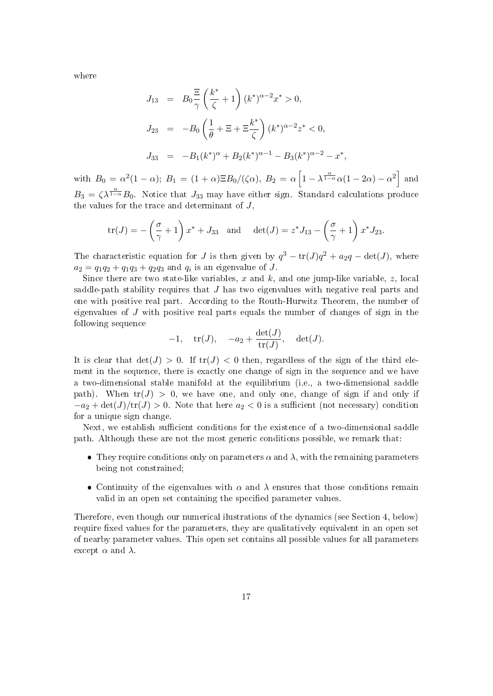where

$$
J_{13} = B_0 \frac{\Xi}{\gamma} \left(\frac{k^*}{\zeta} + 1\right) (k^*)^{\alpha - 2} x^* > 0,
$$
  
\n
$$
J_{23} = -B_0 \left(\frac{1}{\theta} + \Xi + \Xi \frac{k^*}{\zeta}\right) (k^*)^{\alpha - 2} z^* < 0,
$$
  
\n
$$
J_{33} = -B_1 (k^*)^{\alpha} + B_2 (k^*)^{\alpha - 1} - B_3 (k^*)^{\alpha - 2} - x^*,
$$

with  $B_0 = \alpha^2(1-\alpha)$ ;  $B_1 = (1+\alpha)\Xi B_0/(\zeta\alpha)$ ,  $B_2 = \alpha \left[1-\lambda^{\frac{\alpha}{1-\alpha}}\alpha(1-2\alpha) - \alpha^2\right]$  and  $B_3 = \zeta \lambda^{\frac{\alpha}{1-\alpha}} B_0$ . Notice that  $J_{33}$  may have either sign. Standard calculations produce the values for the trace and determinant of J,

$$
\operatorname{tr}(J) = -\left(\frac{\sigma}{\gamma} + 1\right)x^* + J_{33} \quad \text{and} \quad \det(J) = z^*J_{13} - \left(\frac{\sigma}{\gamma} + 1\right)x^*J_{23}.
$$

The characteristic equation for J is then given by  $q^3 - \text{tr}(J)q^2 + a_2q - \text{det}(J)$ , where  $a_2 = q_1 q_2 + q_1 q_3 + q_2 q_3$  and  $q_i$  is an eigenvalue of J.

Since there are two state-like variables, x and k, and one jump-like variable, z, local saddle-path stability requires that  $J$  has two eigenvalues with negative real parts and one with positive real part. According to the Routh-Hurwitz Theorem, the number of eigenvalues of  $J$  with positive real parts equals the number of changes of sign in the following sequence

$$
-1, \quad \operatorname{tr}(J), \quad -a_2 + \frac{\det(J)}{\operatorname{tr}(J)}, \quad \det(J).
$$

It is clear that  $\det(J) > 0$ . If  $tr(J) < 0$  then, regardless of the sign of the third element in the sequence, there is exactly one change of sign in the sequence and we have a two-dimensional stable manifold at the equilibrium (i.e., a two-dimensional saddle path). When  $tr(J) > 0$ , we have one, and only one, change of sign if and only if  $-a_2 + \det(J)/\text{tr}(J) > 0$ . Note that here  $a_2 < 0$  is a sufficient (not necessary) condition for a unique sign change.

Next, we establish sufficient conditions for the existence of a two-dimensional saddle path. Although these are not the most generic conditions possible, we remark that:

- They require conditions only on parameters  $\alpha$  and  $\lambda$ , with the remaining parameters being not constrained;
- Continuity of the eigenvalues with  $\alpha$  and  $\lambda$  ensures that those conditions remain valid in an open set containing the specified parameter values.

Therefore, even though our numerical ilustrations of the dynamics (see Section 4, below) require fixed values for the parameters, they are qualitatively equivalent in an open set of nearby parameter values. This open set contains all possible values for all parameters except  $\alpha$  and  $\lambda$ .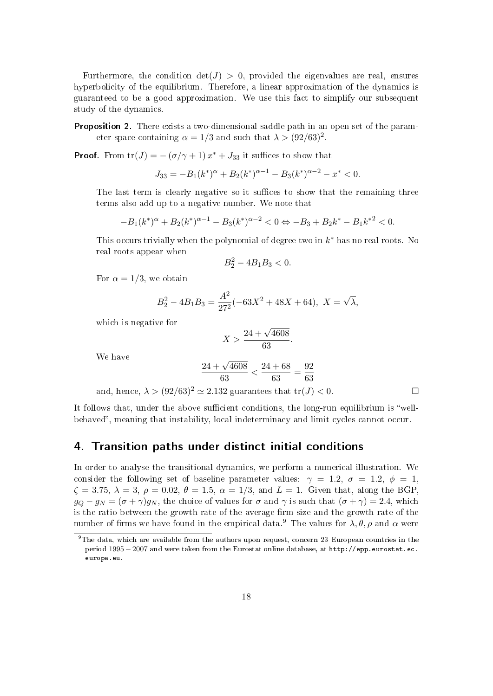Furthermore, the condition  $det(J) > 0$ , provided the eigenvalues are real, ensures hyperbolicity of the equilibrium. Therefore, a linear approximation of the dynamics is guaranteed to be a good approximation. We use this fact to simplify our subsequent study of the dynamics.

Proposition 2. There exists a two-dimensional saddle path in an open set of the parameter space containing  $\alpha = 1/3$  and such that  $\lambda > (92/63)^2$ .

**Proof.** From  $tr(J) = -(\sigma/\gamma + 1)x^* + J_{33}$  it suffices to show that

$$
J_{33} = -B_1(k^*)^{\alpha} + B_2(k^*)^{\alpha - 1} - B_3(k^*)^{\alpha - 2} - x^* < 0.
$$

The last term is clearly negative so it suffices to show that the remaining three terms also add up to a negative number. We note that

$$
-B_1(k^*)^{\alpha} + B_2(k^*)^{\alpha-1} - B_3(k^*)^{\alpha-2} < 0 \Leftrightarrow -B_3 + B_2k^* - B_1k^{*2} < 0.
$$

This occurs trivially when the polynomial of degree two in  $k^*$  has no real roots. No real roots appear when

$$
B_2^2 - 4B_1B_3 < 0.
$$

For  $\alpha = 1/3$ , we obtain

$$
B_2^2 - 4B_1B_3 = \frac{A^2}{27^2}(-63X^2 + 48X + 64), \ X = \sqrt{\lambda},
$$

which is negative for

$$
X > \frac{24 + \sqrt{4608}}{63}.
$$

We have

$$
\frac{24 + \sqrt{4608}}{63} < \frac{24 + 68}{63} = \frac{92}{63}
$$

and, hence,  $\lambda > (92/63)^2 \simeq 2.132$  guarantees that  $tr(J) < 0$ .

It follows that, under the above sufficient conditions, the long-run equilibrium is "wellbehaved", meaning that instability, local indeterminacy and limit cycles cannot occur.

## 4. Transition paths under distinct initial conditions

In order to analyse the transitional dynamics, we perform a numerical illustration. We consider the following set of baseline parameter values:  $\gamma = 1.2, \sigma = 1.2, \phi = 1$ ,  $\zeta = 3.75, \lambda = 3, \rho = 0.02, \theta = 1.5, \alpha = 1/3$ , and  $L = 1$ . Given that, along the BGP,  $g_Q - g_N = (\sigma + \gamma)g_N$ , the choice of values for  $\sigma$  and  $\gamma$  is such that  $(\sigma + \gamma) = 2.4$ , which is the ratio between the growth rate of the average firm size and the growth rate of the number of firms we have found in the empirical data.<sup>9</sup> The values for  $\lambda$ ,  $\theta$ ,  $\rho$  and  $\alpha$  were

<sup>&</sup>lt;sup>9</sup>The data, which are available from the authors upon request, concern 23 European countries in the period 1995 −2007 and were taken from the Eurostat online database, at http://epp.eurostat.ec. europa.eu.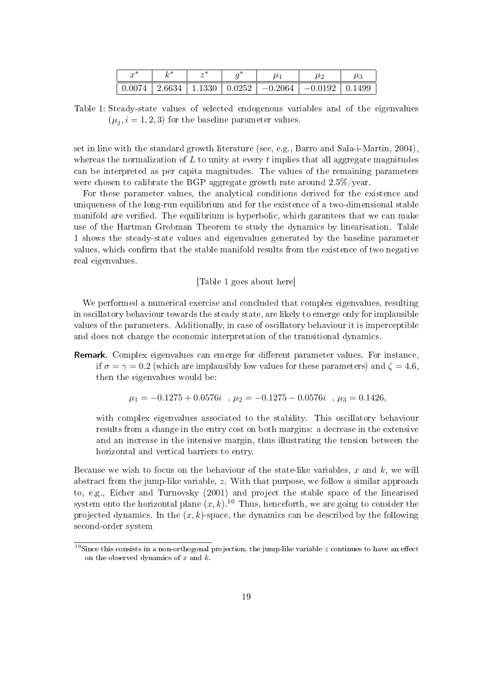| ste<br>$\sim$<br>w |        |                 | ັ |           | $\mu^{\circ}$ | $\mu_3$ |
|--------------------|--------|-----------------|---|-----------|---------------|---------|
| 0.0074             | 2.6634 | 1.1330   0.0252 |   | $-0.2064$ | $-0.0192$     | 0.1499  |

Table 1: Steady-state values of selected endogenous variables and of the eigenvalues  $(\mu_j, i = 1, 2, 3)$  for the baseline parameter values.

set in line with the standard growth literature (see, e.g., Barro and Sala-i-Martin, 2004), whereas the normalization of  $L$  to unity at every  $t$  implies that all aggregate magnitudes can be interpreted as per capita magnitudes. The values of the remaining parameters were chosen to calibrate the BGP aggregate growth rate around 2.5%/year.

For these parameter values, the analytical conditions derived for the existence and uniqueness of the long-run equilibrium and for the existence of a two-dimensional stable manifold are verified. The equilibrium is hyperbolic, which garantees that we can make use of the Hartman Grobman Theorem to study the dynamics by linearisation. Table 1 shows the steady-state values and eigenvalues generated by the baseline parameter values, which confirm that the stable manifold results from the existence of two negative real eigenvalues.

#### [Table 1 goes about here]

We performed a numerical exercise and concluded that complex eigenvalues, resulting in oscillatory behaviour towards the steady state, are likely to emerge only for implausible values of the parameters. Additionally, in case of oscillatory behaviour it is imperceptible and does not change the economic interpretation of the transitional dynamics.

Remark. Complex eigenvalues can emerge for different parameter values. For instance, if  $\sigma = \gamma = 0.2$  (which are implausibly low values for these parameters) and  $\zeta = 4.6$ , then the eigenvalues would be:

$$
\mu_1 = -0.1275 + 0.0576i \quad , \mu_2 = -0.1275 - 0.0576i \quad , \mu_3 = 0.1426,
$$

with complex eigenvalues associated to the stability. This oscillatory behaviour results from a change in the entry cost on both margins: a decrease in the extensive and an increase in the intensive margin, thus illustrating the tension between the horizontal and vertical barriers to entry.

Because we wish to focus on the behaviour of the state-like variables, x and  $k$ , we will abstract from the jump-like variable, z. With that purpose, we follow a similar approach to, e.g., Eicher and Turnovsky (2001) and project the stable space of the linearised system onto the horizontal plane  $(x, k)$  <sup>10</sup> Thus, henceforth, we are going to consider the projected dynamics. In the  $(x, k)$ -space, the dynamics can be described by the following second-order system

<sup>&</sup>lt;sup>10</sup>Since this consists in a non-orthogonal projection, the jump-like variable z continues to have an effect on the observed dynamics of  $x$  and  $k$ .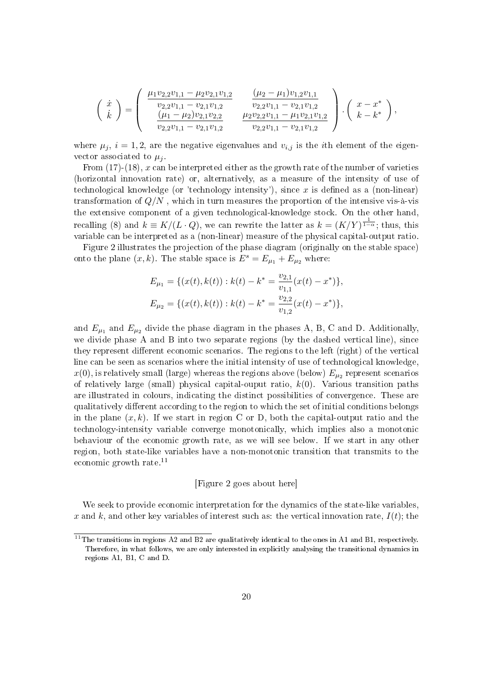$$
\begin{pmatrix}\n\dot{x} \\
\dot{k}\n\end{pmatrix} = \begin{pmatrix}\n\frac{\mu_1 v_{2,2} v_{1,1} - \mu_2 v_{2,1} v_{1,2}}{v_{2,2} v_{1,1} - v_{2,1} v_{1,2}} & \frac{(\mu_2 - \mu_1) v_{1,2} v_{1,1}}{v_{2,2} v_{1,1} - v_{2,1} v_{1,2}} \\
\frac{(\mu_1 - \mu_2) v_{2,1} v_{2,2}}{v_{2,2} v_{1,1} - v_{2,1} v_{1,2}} & \frac{\mu_2 v_{2,2} v_{1,1} - \mu_1 v_{2,1} v_{1,2}}{v_{2,2} v_{1,1} - v_{2,1} v_{1,2}}\n\end{pmatrix} \cdot \begin{pmatrix}\nx - x^* \\
k - k^*\n\end{pmatrix},
$$

where  $\mu_j$ ,  $i = 1, 2$ , are the negative eigenvalues and  $v_{i,j}$  is the *i*th element of the eigenvector associated to  $\mu_i$ .

From  $(17)-(18)$ , x can be interpreted either as the growth rate of the number of varieties (horizontal innovation rate) or, alternatively, as a measure of the intensity of use of technological knowledge (or 'technology intensity'), since  $x$  is defined as a (non-linear) transformation of  $Q/N$ , which in turn measures the proportion of the intensive vis-à-vis the extensive component of a given technological-knowledge stock. On the other hand, recalling (8) and  $k \equiv K/(L \cdot Q)$ , we can rewrite the latter as  $k = (K/Y)^{\frac{1}{1-\alpha}}$ ; thus, this variable can be interpreted as a (non-linear) measure of the physical capital-output ratio.

Figure 2 illustrates the projection of the phase diagram (originally on the stable space) onto the plane  $(x, k)$ . The stable space is  $E^s = E_{\mu_1} + E_{\mu_2}$  where:

$$
E_{\mu_1} = \{ (x(t), k(t)) : k(t) - k^* = \frac{v_{2,1}}{v_{1,1}} (x(t) - x^*) \},
$$
  

$$
E_{\mu_2} = \{ (x(t), k(t)) : k(t) - k^* = \frac{v_{2,2}}{v_{1,2}} (x(t) - x^*) \},
$$

and  $E_{\mu_1}$  and  $E_{\mu_2}$  divide the phase diagram in the phases A, B, C and D. Additionally, we divide phase A and B into two separate regions (by the dashed vertical line), since they represent different economic scenarios. The regions to the left (right) of the vertical line can be seen as scenarios where the initial intensity of use of technological knowledge,  $x(0),$  is relatively small (large) whereas the regions above (below)  $E_{\mu_2}$  represent scenarios of relatively large (small) physical capital-ouput ratio,  $k(0)$ . Various transition paths are illustrated in colours, indicating the distinct possibilities of convergence. These are qualitatively different according to the region to which the set of initial conditions belongs in the plane  $(x, k)$ . If we start in region C or D, both the capital-output ratio and the technology-intensity variable converge monotonically, which implies also a monotonic behaviour of the economic growth rate, as we will see below. If we start in any other region, both state-like variables have a non-monotonic transition that transmits to the economic growth rate.<sup>11</sup>

#### [Figure 2 goes about here]

We seek to provide economic interpretation for the dynamics of the state-like variables, x and k, and other key variables of interest such as: the vertical innovation rate,  $I(t)$ ; the

 $11$ The transitions in regions A2 and B2 are qualitatively identical to the ones in A1 and B1, respectively. Therefore, in what follows, we are only interested in explicitly analysing the transitional dynamics in regions A1, B1, C and D.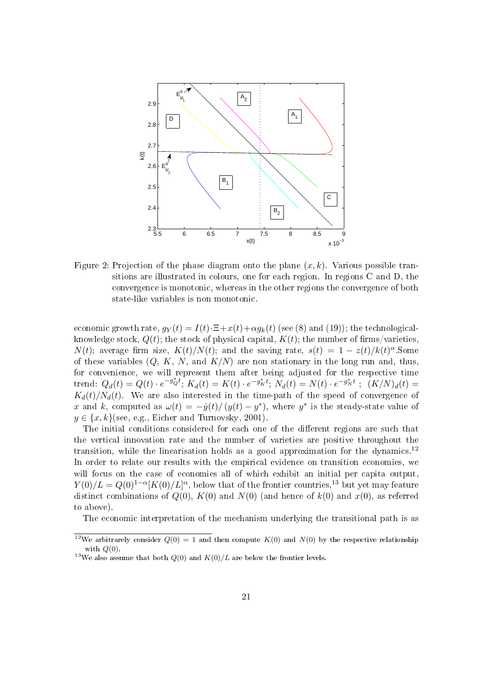

Figure 2: Projection of the phase diagram onto the plane  $(x, k)$ . Various possible transitions are illustrated in colours, one for each region. In regions C and D, the convergence is monotonic, whereas in the other regions the convergence of both state-like variables is non monotonic.

economic growth rate,  $q_Y(t) = I(t) \cdot \Xi + x(t) + \alpha q_k(t)$  (see (8) and (19)); the technologicalknowledge stock,  $Q(t)$ ; the stock of physical capital,  $K(t)$ ; the number of firms/varieties,  $N(t)$ ; average firm size,  $K(t)/N(t)$ ; and the saving rate,  $s(t) = 1 - z(t)/k(t)^{\alpha}$ . Some of these variables  $(Q, K, N, \text{ and } K/N)$  are non stationary in the long run and, thus, for convenience, we will represent them after being adjusted for the respective time  ${\rm trend:} \; Q_d(t) = Q(t) \cdot e^{-g_Q^* t}; \; K_d(t) = K(t) \cdot e^{-g_K^* t}; \; \widetilde{N_d}(t) = N(t) \cdot e^{-g_N^* t} \; ; \; \; (K/N)_d(t) = 0.$  $K<sub>d</sub>(t)/N<sub>d</sub>(t)$ . We are also interested in the time-path of the speed of convergence of x and k, computed as  $\omega(t) = -\dot{y}(t)/(y(t) - y^*)$ , where y<sup>\*</sup> is the steady-state value of  $y \in \{x, k\}$ (see, e.g., Eicher and Turnovsky, 2001).

The initial conditions considered for each one of the different regions are such that the vertical innovation rate and the number of varieties are positive throughout the transition, while the linearisation holds as a good approximation for the dynamics.<sup>12</sup> In order to relate our results with the empirical evidence on transition economies, we will focus on the case of economies all of which exhibit an initial per capita output,  $Y(0)/L = Q(0)^{1-\alpha} [K(0)/L]^{\alpha}$ , below that of the frontier countries,<sup>13</sup> but yet may feature distinct combinations of  $Q(0)$ ,  $K(0)$  and  $N(0)$  (and hence of  $k(0)$  and  $x(0)$ , as referred to above).

The economic interpretation of the mechanism underlying the transitional path is as

<sup>&</sup>lt;sup>12</sup>We arbitrarely consider  $Q(0) = 1$  and then compute  $K(0)$  and  $N(0)$  by the respective relationship with  $Q(0)$ .

<sup>&</sup>lt;sup>13</sup>We also assume that both  $Q(0)$  and  $K(0)/L$  are below the frontier levels.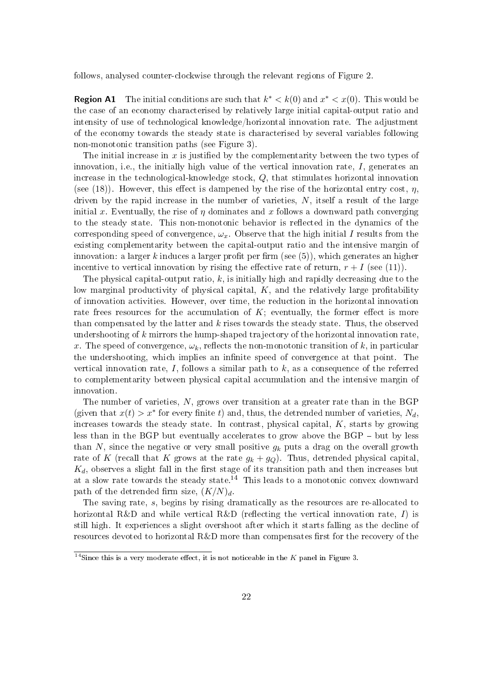follows, analysed counter-clockwise through the relevant regions of Figure 2.

**Region A1** The initial conditions are such that  $k^* < k(0)$  and  $x^* < x(0)$ . This would be the case of an economy characterised by relatively large initial capital-output ratio and intensity of use of technological knowledge/horizontal innovation rate. The adjustment of the economy towards the steady state is characterised by several variables following non-monotonic transition paths (see Figure 3).

The initial increase in  $x$  is justified by the complementarity between the two types of innovation, i.e., the initially high value of the vertical innovation rate,  $I$ , generates an increase in the technological-knowledge stock, Q, that stimulates horizontal innovation (see (18)). However, this effect is dampened by the rise of the horizontal entry cost,  $\eta$ , driven by the rapid increase in the number of varieties,  $N$ , itself a result of the large initial x. Eventually, the rise of  $\eta$  dominates and x follows a downward path converging to the steady state. This non-monotonic behavior is reflected in the dynamics of the corresponding speed of convergence,  $\omega_x$ . Observe that the high initial I results from the existing complementarity between the capital-output ratio and the intensive margin of innovation: a larger k induces a larger profit per firm (see  $(5)$ ), which generates an higher incentive to vertical innovation by rising the effective rate of return,  $r + I$  (see (11)).

The physical capital-output ratio,  $k$ , is initially high and rapidly decreasing due to the low marginal productivity of physical capital,  $K$ , and the relatively large profitability of innovation activities. However, over time, the reduction in the horizontal innovation rate frees resources for the accumulation of  $K$ ; eventually, the former effect is more than compensated by the latter and  $k$  rises towards the steady state. Thus, the observed undershooting of  $k$  mirrors the hump-shaped trajectory of the horizontal innovation rate, x. The speed of convergence,  $\omega_k$ , reflects the non-monotonic transition of k, in particular the undershooting, which implies an infinite speed of convergence at that point. The vertical innovation rate, I, follows a similar path to  $k$ , as a consequence of the referred to complementarity between physical capital accumulation and the intensive margin of innovation.

The number of varieties,  $N$ , grows over transition at a greater rate than in the BGP (given that  $x(t) > x^*$  for every finite t) and, thus, the detrended number of varieties,  $N_d$ , increases towards the steady state. In contrast, physical capital,  $K$ , starts by growing less than in the BGP but eventually accelerates to grow above the BGP  $-$  but by less than N, since the negative or very small positive  $g_k$  puts a drag on the overall growth rate of K (recall that K grows at the rate  $g_k + g_Q$ ). Thus, detrended physical capital,  $K_d$ , observes a slight fall in the first stage of its transition path and then increases but at a slow rate towards the steady state.<sup>14</sup> This leads to a monotonic convex downward path of the detrended firm size,  $(K/N)<sub>d</sub>$ .

The saving rate, s, begins by rising dramatically as the resources are re-allocated to horizontal R&D and while vertical R&D (reflecting the vertical innovation rate,  $I$ ) is still high. It experiences a slight overshoot after which it starts falling as the decline of resources devoted to horizontal R&D more than compensates first for the recovery of the

 $\overline{^{14}$ Since this is a very moderate effect, it is not noticeable in the K panel in Figure 3.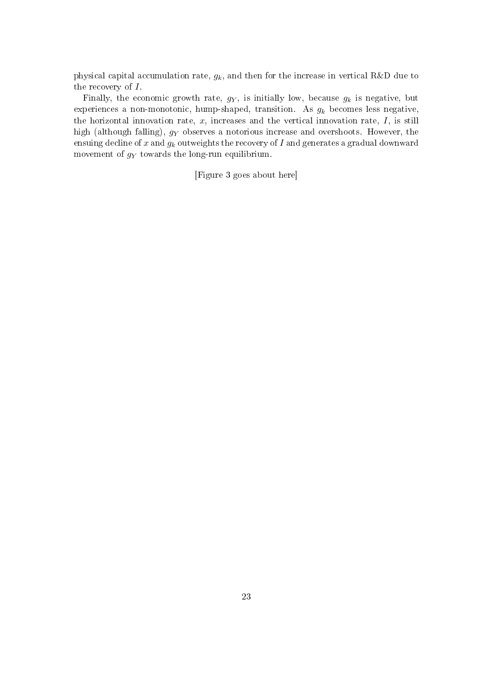physical capital accumulation rate,  $g_k$ , and then for the increase in vertical R&D due to the recovery of I.

Finally, the economic growth rate,  $g_Y$ , is initially low, because  $g_k$  is negative, but experiences a non-monotonic, hump-shaped, transition. As  $g_k$  becomes less negative, the horizontal innovation rate,  $x$ , increases and the vertical innovation rate,  $I$ , is still high (although falling),  $g_Y$  observes a notorious increase and overshoots. However, the ensuing decline of x and  $g_k$  outweights the recovery of I and generates a gradual downward movement of  $g_Y$  towards the long-run equilibrium.

[Figure 3 goes about here]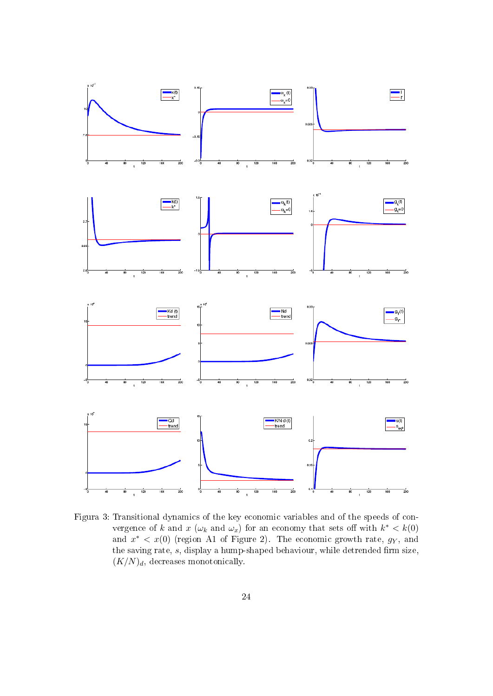

Figura 3: Transitional dynamics of the key economic variables and of the speeds of convergence of k and  $x(\omega_k)$  and  $\omega_x$  for an economy that sets off with  $k^* < k(0)$ and  $x^* < x(0)$  (region A1 of Figure 2). The economic growth rate,  $g_Y$ , and the saving rate,  $s$ , display a hump-shaped behaviour, while detrended firm size,  $(K/N)<sub>d</sub>$ , decreases monotonically.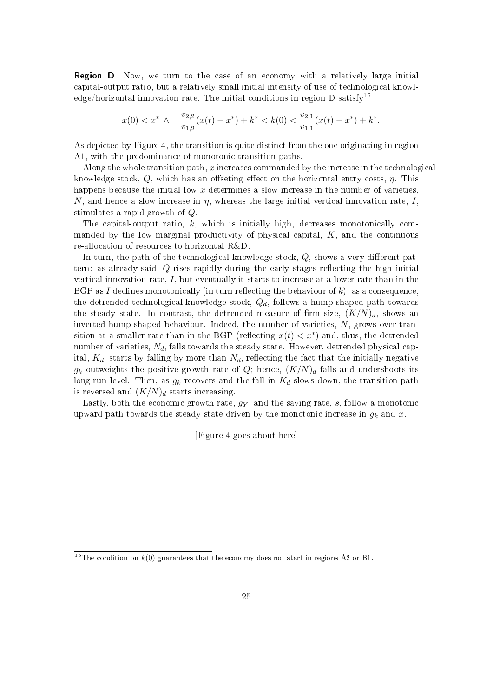Region D Now, we turn to the case of an economy with a relatively large initial capital-output ratio, but a relatively small initial intensity of use of technological knowledge/horizontal innovation rate. The initial conditions in region  $D$  satisfy<sup>15</sup>

$$
x(0) < x^* \land \frac{v_{2,2}}{v_{1,2}}(x(t) - x^*) + k^* < k(0) < \frac{v_{2,1}}{v_{1,1}}(x(t) - x^*) + k^*.
$$

As depicted by Figure 4, the transition is quite distinct from the one originating in region A1, with the predominance of monotonic transition paths.

Along the whole transition path,  $x$  increases commanded by the increase in the technologicalknowledge stock,  $Q$ , which has an offseting effect on the horizontal entry costs,  $\eta$ . This happens because the initial low  $x$  determines a slow increase in the number of varieties, N, and hence a slow increase in  $\eta$ , whereas the large initial vertical innovation rate, I, stimulates a rapid growth of Q.

The capital-output ratio, k, which is initially high, decreases monotonically commanded by the low marginal productivity of physical capital, K, and the continuous re-allocation of resources to horizontal R&D.

In turn, the path of the technological-knowledge stock,  $Q$ , shows a very different pattern: as already said,  $Q$  rises rapidly during the early stages reflecting the high initial vertical innovation rate,  $I$ , but eventually it starts to increase at a lower rate than in the BGP as I declines monotonically (in turn reflecting the behaviour of  $k$ ); as a consequence, the detrended technological-knowledge stock,  $Q_d$ , follows a hump-shaped path towards the steady state. In contrast, the detrended measure of firm size,  $(K/N)<sub>d</sub>$ , shows an inverted hump-shaped behaviour. Indeed, the number of varieties, N, grows over transition at a smaller rate than in the BGP (reflecting  $x(t) < x^*$ ) and, thus, the detrended number of varieties,  $N_d$ , falls towards the steady state. However, detrended physical capital,  $K_d$ , starts by falling by more than  $N_d$ , reflecting the fact that the initially negative  $g_k$  outweights the positive growth rate of Q; hence,  $(K/N)_d$  falls and undershoots its long-run level. Then, as  $g_k$  recovers and the fall in  $K_d$  slows down, the transition-path is reversed and  $(K/N)<sub>d</sub>$  starts increasing.

Lastly, both the economic growth rate,  $g_Y$ , and the saving rate, s, follow a monotonic upward path towards the steady state driven by the monotonic increase in  $g_k$  and x.

[Figure 4 goes about here]

<sup>&</sup>lt;sup>15</sup>The condition on  $k(0)$  guarantees that the economy does not start in regions A2 or B1.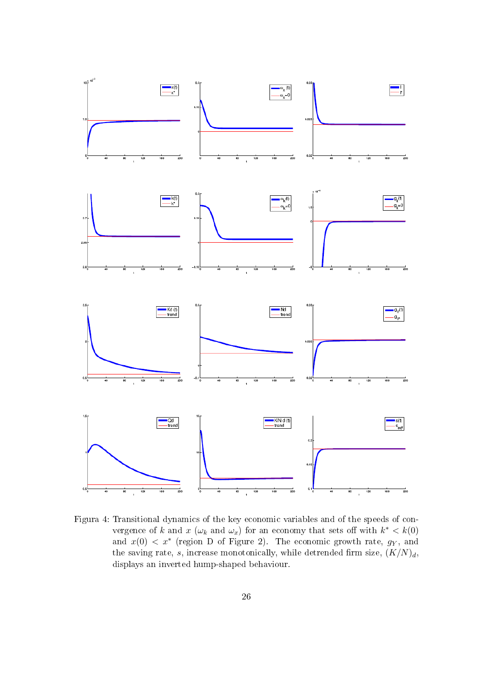

Figura 4: Transitional dynamics of the key economic variables and of the speeds of convergence of k and  $x(\omega_k)$  and  $\omega_x$  for an economy that sets off with  $k^* < k(0)$ and  $x(0) < x^*$  (region D of Figure 2). The economic growth rate,  $g_Y$ , and the saving rate, s, increase monotonically, while detrended firm size,  $(K/N)<sub>d</sub>$ , displays an inverted hump-shaped behaviour.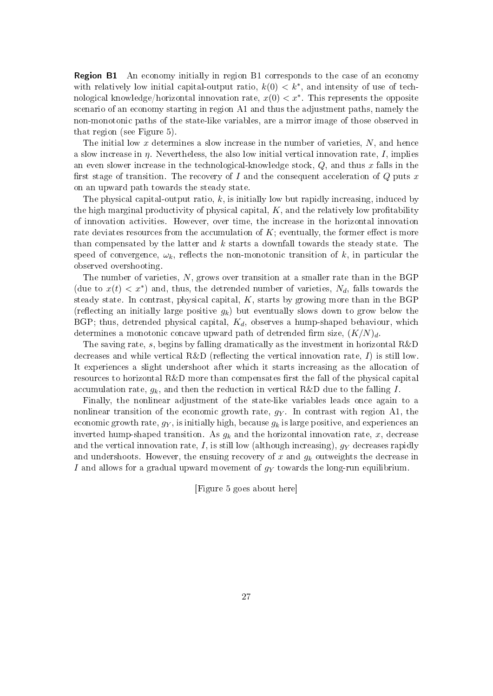Region B1 An economy initially in region B1 corresponds to the case of an economy with relatively low initial capital-output ratio,  $k(0) < k^*$ , and intensity of use of technological knowledge/horizontal innovation rate,  $x(0) < x^*$ . This represents the opposite scenario of an economy starting in region A1 and thus the adjustment paths, namely the non-monotonic paths of the state-like variables, are a mirror image of those observed in that region (see Figure 5).

The initial low x determines a slow increase in the number of varieties,  $N$ , and hence a slow increase in  $\eta$ . Nevertheless, the also low initial vertical innovation rate, I, implies an even slower increase in the technological-knowledge stock,  $Q$ , and thus x falls in the first stage of transition. The recovery of I and the consequent acceleration of Q puts  $x$ on an upward path towards the steady state.

The physical capital-output ratio,  $k$ , is initially low but rapidly increasing, induced by the high marginal productivity of physical capital,  $K$ , and the relatively low profitability of innovation activities. However, over time, the increase in the horizontal innovation rate deviates resources from the accumulation of  $K$ ; eventually, the former effect is more than compensated by the latter and  $k$  starts a downfall towards the steady state. The speed of convergence,  $\omega_k$ , reflects the non-monotonic transition of k, in particular the observed overshooting.

The number of varieties, N, grows over transition at a smaller rate than in the BGP (due to  $x(t) < x^*$ ) and, thus, the detrended number of varieties,  $N_d$ , falls towards the steady state. In contrast, physical capital,  $K$ , starts by growing more than in the BGP (reflecting an initially large positive  $g_k$ ) but eventually slows down to grow below the BGP; thus, detrended physical capital,  $K_d$ , observes a hump-shaped behaviour, which determines a monotonic concave upward path of detrended firm size,  $(K/N)<sub>d</sub>$ .

The saving rate, s, begins by falling dramatically as the investment in horizontal R&D decreases and while vertical R&D (reflecting the vertical innovation rate,  $I$ ) is still low. It experiences a slight undershoot after which it starts increasing as the allocation of resources to horizontal  $R\&D$  more than compensates first the fall of the physical capital accumulation rate,  $g_k$ , and then the reduction in vertical R&D due to the falling I.

Finally, the nonlinear adjustment of the state-like variables leads once again to a nonlinear transition of the economic growth rate,  $q_Y$ . In contrast with region A1, the economic growth rate,  $g_Y$ , is initially high, because  $g_k$  is large positive, and experiences an inverted hump-shaped transition. As  $g_k$  and the horizontal innovation rate, x, decrease and the vertical innovation rate, I, is still low (although increasing),  $g<sub>Y</sub>$  decreases rapidly and undershoots. However, the ensuing recovery of x and  $g_k$  outweights the decrease in I and allows for a gradual upward movement of  $g<sub>Y</sub>$  towards the long-run equilibrium.

[Figure 5 goes about here]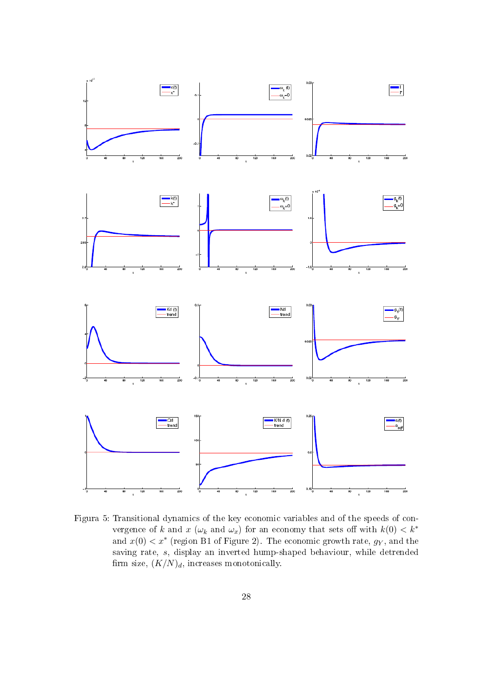

Figura 5: Transitional dynamics of the key economic variables and of the speeds of convergence of k and x  $(\omega_k$  and  $\omega_x)$  for an economy that sets off with  $k(0) < k^*$ and  $x(0) < x^*$  (region B1 of Figure 2). The economic growth rate,  $g_Y$ , and the saving rate, s, display an inverted hump-shaped behaviour, while detrended firm size,  $(K/N)<sub>d</sub>$ , increases monotonically.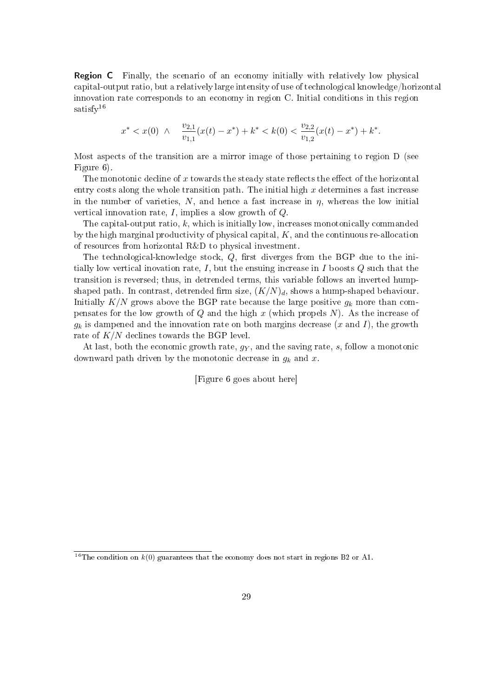Region C Finally, the scenario of an economy initially with relatively low physical capital-output ratio, but a relatively large intensity of use of technological knowledge/horizontal innovation rate corresponds to an economy in region C. Initial conditions in this region satisfy<sup>16</sup>

$$
x^* < x(0) \ \land \quad \frac{v_{2,1}}{v_{1,1}}(x(t) - x^*) + k^* < k(0) < \frac{v_{2,2}}{v_{1,2}}(x(t) - x^*) + k^*.
$$

Most aspects of the transition are a mirror image of those pertaining to region D (see Figure 6).

The monotonic decline of x towards the steady state reflects the effect of the horizontal entry costs along the whole transition path. The initial high  $x$  determines a fast increase in the number of varieties,  $N$ , and hence a fast increase in  $\eta$ , whereas the low initial vertical innovation rate,  $I$ , implies a slow growth of  $Q$ .

The capital-output ratio,  $k$ , which is initially low, increases monotonically commanded by the high marginal productivity of physical capital,  $K$ , and the continuous re-allocation of resources from horizontal R&D to physical investment.

The technological-knowledge stock,  $Q$ , first diverges from the BGP due to the initially low vertical inovation rate, I, but the ensuing increase in I boosts  $Q$  such that the transition is reversed; thus, in detrended terms, this variable follows an inverted humpshaped path. In contrast, detrended firm size,  $(K/N)<sub>d</sub>$ , shows a hump-shaped behaviour. Initially  $K/N$  grows above the BGP rate because the large positive  $g_k$  more than compensates for the low growth of  $Q$  and the high  $x$  (which propels  $N$ ). As the increase of  $g_k$  is dampened and the innovation rate on both margins decrease  $(x \text{ and } I)$ , the growth rate of  $K/N$  declines towards the BGP level.

At last, both the economic growth rate,  $g_Y$ , and the saving rate, s, follow a monotonic downward path driven by the monotonic decrease in  $g_k$  and x.

[Figure 6 goes about here]

<sup>&</sup>lt;sup>16</sup>The condition on  $k(0)$  guarantees that the economy does not start in regions B2 or A1.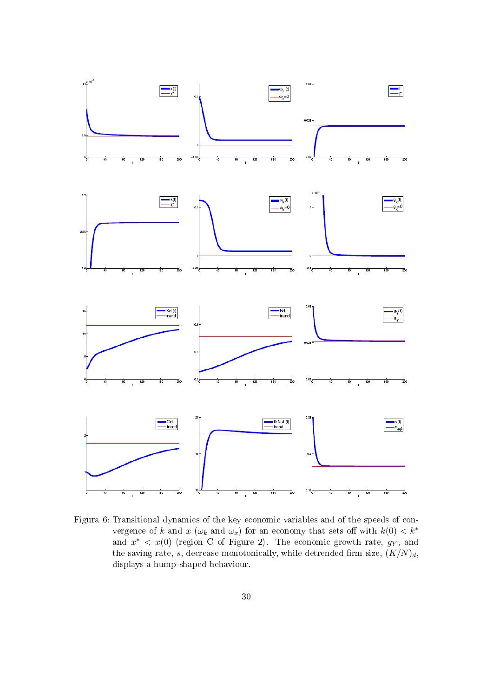

Figura 6: Transitional dynamics of the key economic variables and of the speeds of convergence of k and x  $(\omega_k$  and  $\omega_x)$  for an economy that sets off with  $k(0) < k^*$ and  $x^*$  <  $x(0)$  (region C of Figure 2). The economic growth rate,  $g_Y$ , and the saving rate, s, decrease monotonically, while detrended firm size,  $(K/N)<sub>d</sub>$ , displays a hump-shaped behaviour.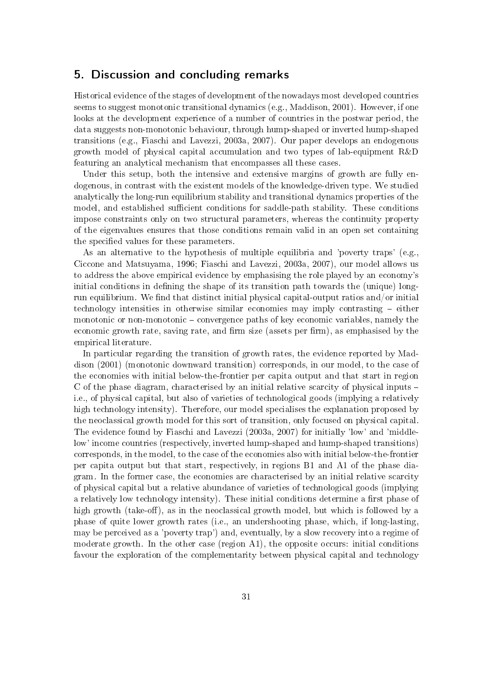## 5. Discussion and concluding remarks

Historical evidence of the stages of development of the nowadays most developed countries seems to suggest monotonic transitional dynamics (e.g., Maddison, 2001). However, if one looks at the development experience of a number of countries in the postwar period, the data suggests non-monotonic behaviour, through hump-shaped or inverted hump-shaped transitions (e.g., Fiaschi and Lavezzi, 2003a, 2007). Our paper develops an endogenous growth model of physical capital accumulation and two types of lab-equipment R&D featuring an analytical mechanism that encompasses all these cases.

Under this setup, both the intensive and extensive margins of growth are fully endogenous, in contrast with the existent models of the knowledge-driven type. We studied analytically the long-run equilibrium stability and transitional dynamics properties of the model, and established sufficient conditions for saddle-path stability. These conditions impose constraints only on two structural parameters, whereas the continuity property of the eigenvalues ensures that those conditions remain valid in an open set containing the specified values for these parameters.

As an alternative to the hypothesis of multiple equilibria and 'poverty traps' (e.g., Ciccone and Matsuyama, 1996; Fiaschi and Lavezzi, 2003a, 2007), our model allows us to address the above empirical evidence by emphasising the role played by an economy's initial conditions in defining the shape of its transition path towards the (unique) longrun equilibrium. We find that distinct initial physical capital-output ratios and/or initial technology intensities in otherwise similar economies may imply contrasting  $-$  either monotonic or non-monotonic  $-\text{convergence paths of key economic variables, namely the}$ economic growth rate, saving rate, and firm size (assets per firm), as emphasised by the empirical literature.

In particular regarding the transition of growth rates, the evidence reported by Maddison (2001) (monotonic downward transition) corresponds, in our model, to the case of the economies with initial below-the-frontier per capita output and that start in region C of the phase diagram, characterised by an initial relative scarcity of physical inputs – i.e., of physical capital, but also of varieties of technological goods (implying a relatively high technology intensity). Therefore, our model specialises the explanation proposed by the neoclassical growth model for this sort of transition, only focused on physical capital. The evidence found by Fiaschi and Lavezzi (2003a, 2007) for initially 'low' and 'middlelow' income countries (respectively, inverted hump-shaped and hump-shaped transitions) corresponds, in the model, to the case of the economies also with initial below-the-frontier per capita output but that start, respectively, in regions B1 and A1 of the phase diagram. In the former case, the economies are characterised by an initial relative scarcity of physical capital but a relative abundance of varieties of technological goods (implying a relatively low technology intensity). These initial conditions determine a first phase of high growth (take-off), as in the neoclassical growth model, but which is followed by a phase of quite lower growth rates (i.e., an undershooting phase, which, if long-lasting, may be perceived as a 'poverty trap') and, eventually, by a slow recovery into a regime of moderate growth. In the other case (region A1), the opposite occurs: initial conditions favour the exploration of the complementarity between physical capital and technology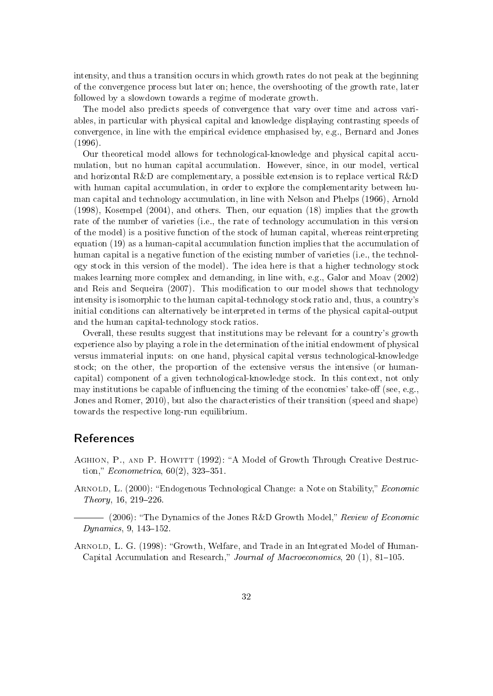intensity, and thus a transition occurs in which growth rates do not peak at the beginning of the convergence process but later on; hence, the overshooting of the growth rate, later followed by a slowdown towards a regime of moderate growth.

The model also predicts speeds of convergence that vary over time and across variables, in particular with physical capital and knowledge displaying contrasting speeds of convergence, in line with the empirical evidence emphasised by, e.g., Bernard and Jones (1996).

Our theoretical model allows for technological-knowledge and physical capital accumulation, but no human capital accumulation. However, since, in our model, vertical and horizontal  $R\&D$  are complementary, a possible extension is to replace vertical  $R\&D$ with human capital accumulation, in order to explore the complementarity between human capital and technology accumulation, in line with Nelson and Phelps (1966), Arnold (1998), Kosempel (2004), and others. Then, our equation (18) implies that the growth rate of the number of varieties (i.e., the rate of technology accumulation in this version of the model) is a positive function of the stock of human capital, whereas reinterpreting equation (19) as a human-capital accumulation function implies that the accumulation of human capital is a negative function of the existing number of varieties (i.e., the technology stock in this version of the model). The idea here is that a higher technology stock makes learning more complex and demanding, in line with, e.g., Galor and Moav (2002) and Reis and Sequeira (2007). This modification to our model shows that technology intensity is isomorphic to the human capital-technology stock ratio and, thus, a country's initial conditions can alternatively be interpreted in terms of the physical capital-output and the human capital-technology stock ratios.

Overall, these results suggest that institutions may be relevant for a country's growth experience also by playing a role in the determination of the initial endowment of physical versus immaterial inputs: on one hand, physical capital versus technological-knowledge stock; on the other, the proportion of the extensive versus the intensive (or humancapital) component of a given technological-knowledge stock. In this context, not only may institutions be capable of influencing the timing of the economies' take-off (see, e.g., Jones and Romer, 2010), but also the characteristics of their transition (speed and shape) towards the respective long-run equilibrium.

## References

- AGHION, P., AND P. HOWITT (1992): "A Model of Growth Through Creative Destruction," *Econometrica*,  $60(2)$ , 323-351.
- ARNOLD, L. (2000): "Endogenous Technological Change: a Note on Stability," *Economic*  $Theory, 16, 219–226.$
- $-$  (2006): "The Dynamics of the Jones R&D Growth Model," Review of Economic  $Dynamics, 9, 143-152.$
- ARNOLD, L. G. (1998): "Growth, Welfare, and Trade in an Integrated Model of Human-Capital Accumulation and Research," Journal of Macroeconomics, 20  $(1)$ , 81-105.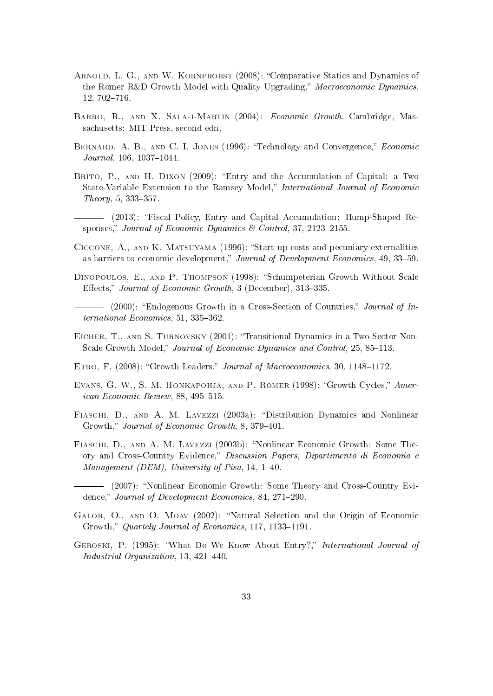- ARNOLD, L. G., AND W. KORNPROBST (2008): "Comparative Statics and Dynamics of the Romer R&D Growth Model with Quality Upgrading," Macroeconomic Dynamics, 12, 702-716.
- Barro, R., and X. Sala-i-Martin (2004): Economic Growth. Cambridge, Massachusetts: MIT Press, second edn.
- BERNARD, A. B., AND C. I. JONES (1996): "Technology and Convergence," Economic  $Journal, 106, 1037-1044.$
- BRITO, P., AND H. DIXON (2009): "Entry and the Accumulation of Capital: a Two State-Variable Extension to the Ramsey Model," International Journal of Economic  $Theory, 5, 333-357.$

(2013): Fiscal Policy, Entry and Capital Accumulation: Hump-Shaped Responses," Journal of Economic Dynamics & Control, 37, 2123-2155.

- CICCONE, A., AND K. MATSUYAMA (1996): "Start-up costs and pecuniary externalities as barriers to economic development," Journal of Development Economics, 49, 33-59.
- DINOPOULOS, E., AND P. THOMPSON (1998): "Schumpeterian Growth Without Scale Effects," Journal of Economic Growth, 3 (December), 313-335.
- (2000): "Endogenous Growth in a Cross-Section of Countries," Journal of In $ternational Economics, 51, 335-362.$
- Eicher, T., and S. Turnovsky (2001): Transitional Dynamics in a Two-Sector Non-Scale Growth Model," Journal of Economic Dynamics and Control, 25, 85-113.
- ETRO, F. (2008): "Growth Leaders," Journal of Macroeconomics, 30, 1148-1172.
- EVANS, G. W., S. M. HONKAPOHJA, AND P. ROMER (1998): "Growth Cycles," Amer $ican Economic Review, 88, 495-515.$
- FIASCHI, D., AND A. M. LAVEZZI (2003a): "Distribution Dynamics and Nonlinear Growth," Journal of Economic Growth, 8, 379-401.
- FIASCHI, D., AND A. M. LAVEZZI (2003b): "Nonlinear Economic Growth: Some Theory and Cross-Country Evidence," Discussion Papers, Dipartimento di Economia e Management (DEM), University of Pisa, 14, 1-40.
- (2007): Nonlinear Economic Growth: Some Theory and Cross-Country Evidence," Journal of Development Economics, 84, 271-290.
- GALOR, O., AND O. MOAV (2002): "Natural Selection and the Origin of Economic Growth," Quartely Journal of Economics, 117, 1133-1191.
- GEROSKI, P. (1995): "What Do We Know About Entry?," International Journal of  $Industrial$   $Organization$ , 13, 421-440.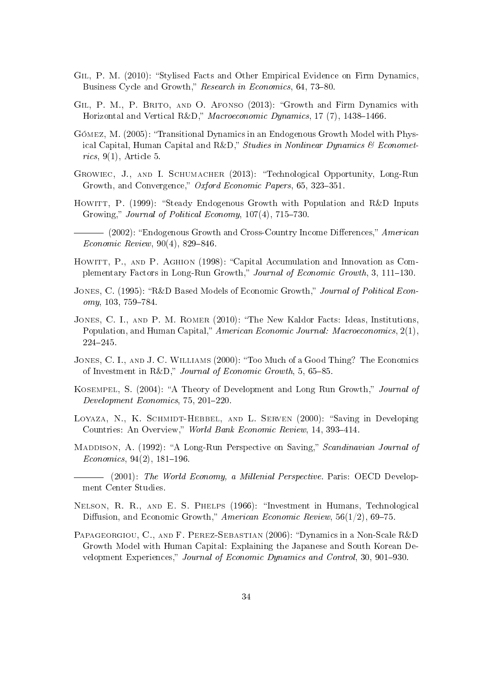- GIL, P. M. (2010): "Stylised Facts and Other Empirical Evidence on Firm Dynamics, Business Cycle and Growth," Research in Economics, 64, 73-80.
- GIL, P. M., P. BRITO, AND O. AFONSO (2013): "Growth and Firm Dynamics with Horizontal and Vertical R&D," Macroeconomic Dynamics, 17 (7), 1438-1466.
- Gómez, M. (2005): Transitional Dynamics in an Endogenous Growth Model with Physical Capital, Human Capital and R&D," Studies in Nonlinear Dynamics & Econometrics,  $9(1)$ , Article 5.
- Growiec, J., and I. Schumacher (2013): Technological Opportunity, Long-Run Growth, and Convergence," Oxford Economic Papers, 65, 323-351.
- HOWITT, P. (1999): "Steady Endogenous Growth with Population and R&D Inputs Growing," Journal of Political Economy,  $107(4)$ ,  $715-730$ .
- $-$  (2002): "Endogenous Growth and Cross-Country Income Differences," American  $Economic$  Review, 90(4), 829-846.
- HOWITT, P., AND P. AGHION (1998): "Capital Accumulation and Innovation as Complementary Factors in Long-Run Growth," Journal of Economic Growth, 3, 111-130.
- JONES, C. (1995): "R&D Based Models of Economic Growth," Journal of Political Econ $omy, 103, 759-784.$
- JONES, C. I., AND P. M. ROMER (2010): "The New Kaldor Facts: Ideas, Institutions, Population, and Human Capital," American Economic Journal: Macroeconomics,  $2(1)$ , 224245.
- JONES, C. I., AND J. C. WILLIAMS (2000): "Too Much of a Good Thing? The Economics of Investment in R&D," Journal of Economic Growth, 5, 65-85.
- KOSEMPEL, S. (2004): "A Theory of Development and Long Run Growth," *Journal of*  $Development\ Economics, 75, 201-220.$
- LOYAZA, N., K. SCHMIDT-HEBBEL, AND L. SERVEN (2000): "Saving in Developing Countries: An Overview," World Bank Economic Review, 14, 393-414.
- MADDISON, A. (1992): "A Long-Run Perspective on Saving," Scandinavian Journal of  $Economics, 94(2), 181-196.$
- (2001): The World Economy, a Millenial Perspective. Paris: OECD Development Center Studies.
- Nelson, R. R., and E. S. Phelps (1966): Investment in Humans, Technological Diffusion, and Economic Growth," American Economic Review,  $56(1/2)$ , 69–75.
- PAPAGEORGIOU, C., AND F. PEREZ-SEBASTIAN (2006): "Dynamics in a Non-Scale R&D Growth Model with Human Capital: Explaining the Japanese and South Korean Development Experiences," Journal of Economic Dynamics and Control, 30, 901-930.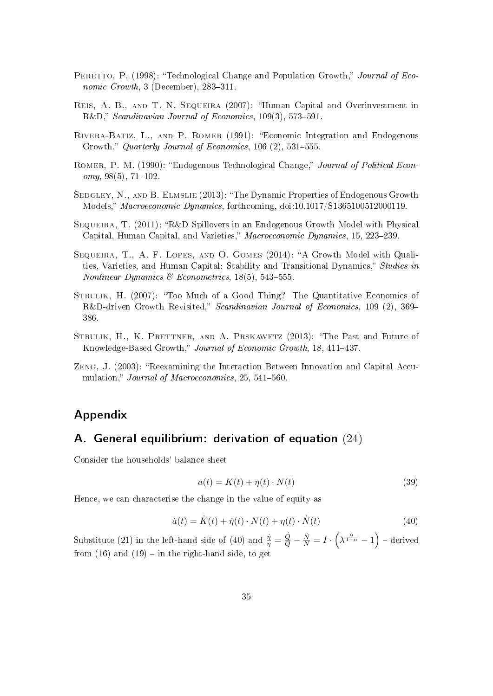- PERETTO, P. (1998): "Technological Change and Population Growth," Journal of Economic Growth,  $3$  (December),  $283-311$ .
- Reis, A. B., and T. N. Sequeira (2007): Human Capital and Overinvestment in R&D," Scandinavian Journal of Economics,  $109(3)$ , 573-591.
- Rivera-Batiz, L., and P. Romer (1991): Economic Integration and Endogenous Growth," Quarterly Journal of Economics,  $106(2)$ ,  $531-555$ .
- ROMER, P. M. (1990): "Endogenous Technological Change," *Journal of Political Econ* $omy, 98(5), 71-102.$
- SEDGLEY, N., AND B. ELMSLIE (2013): "The Dynamic Properties of Endogenous Growth Models," Macroeconomic Dynamics, forthcoming, doi:10.1017/S1365100512000119.
- SEQUEIRA, T.  $(2011)$ : "R&D Spillovers in an Endogenous Growth Model with Physical Capital, Human Capital, and Varieties," Macroeconomic Dynamics, 15, 223-239.
- Sequeira, T., A. F. Lopes, and O. Gomes (2014): A Growth Model with Qualities, Varieties, and Human Capital: Stability and Transitional Dynamics," Studies in Nonlinear Dynamics & Econometrics,  $18(5)$ ,  $543-555$ .
- STRULIK, H. (2007): "Too Much of a Good Thing? The Quantitative Economics of R&D-driven Growth Revisited," Scandinavian Journal of Economics, 109 (2), 369-386.
- STRULIK, H., K. PRETTNER, AND A. PRSKAWETZ (2013): "The Past and Future of Knowledge-Based Growth," Journal of Economic Growth, 18, 411-437.
- ZENG, J. (2003): "Reexamining the Interaction Between Innovation and Capital Accumulation," *Journal of Macroeconomics*,  $25, 541-560$ .

## Appendix

## A. General equilibrium: derivation of equation (24)

Consider the households' balance sheet

$$
a(t) = K(t) + \eta(t) \cdot N(t)
$$
\n(39)

Hence, we can characterise the change in the value of equity as

$$
\dot{a}(t) = \dot{K}(t) + \dot{\eta}(t) \cdot N(t) + \eta(t) \cdot \dot{N}(t)
$$
\n(40)

Substitute (21) in the left-hand side of (40) and  $\frac{\dot{\eta}}{\eta} = \frac{\dot{Q}}{Q} - \frac{\dot{N}}{N} = I \cdot (\lambda^{\frac{\alpha}{1-\alpha}} - 1)$  – derived from  $(16)$  and  $(19)$  – in the right-hand side, to get